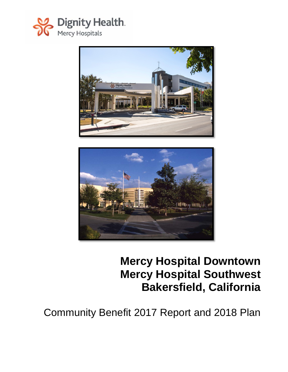





# **Mercy Hospital Downtown Mercy Hospital Southwest Bakersfield, California**

Community Benefit 2017 Report and 2018 Plan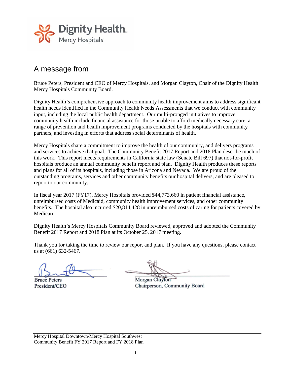

### A message from

Bruce Peters, President and CEO of Mercy Hospitals, and Morgan Clayton, Chair of the Dignity Health Mercy Hospitals Community Board.

Dignity Health's comprehensive approach to community health improvement aims to address significant health needs identified in the Community Health Needs Assessments that we conduct with community input, including the local public health department. Our multi-pronged initiatives to improve community health include financial assistance for those unable to afford medically necessary care, a range of prevention and health improvement programs conducted by the hospitals with community partners, and investing in efforts that address social determinants of health.

Mercy Hospitals share a commitment to improve the health of our community, and delivers programs and services to achieve that goal. The Community Benefit 2017 Report and 2018 Plan describe much of this work. This report meets requirements in California state law (Senate Bill 697) that not-for-profit hospitals produce an annual community benefit report and plan. Dignity Health produces these reports and plans for all of its hospitals, including those in Arizona and Nevada. We are proud of the outstanding programs, services and other community benefits our hospital delivers, and are pleased to report to our community.

In fiscal year 2017 (FY17), Mercy Hospitals provided \$44,773,660 in patient financial assistance, unreimbursed costs of Medicaid, community health improvement services, and other community benefits. The hospital also incurred \$20,814,428 in unreimbursed costs of caring for patients covered by Medicare.

Dignity Health's Mercy Hospitals Community Board reviewed, approved and adopted the Community Benefit 2017 Report and 2018 Plan at its October 25, 2017 meeting.

Thank you for taking the time to review our report and plan. If you have any questions, please contact us at (661) 632-5467.

**Bruce Peters** President/CEO

Morgan Clayton Chairperson, Community Board

Mercy Hospital Downtown/Mercy Hospital Southwest Community Benefit FY 2017 Report and FY 2018 Plan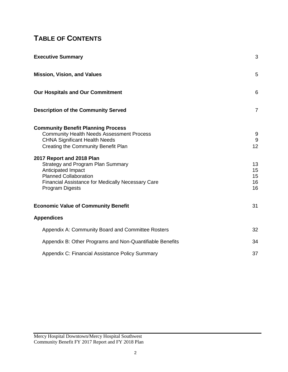## **TABLE OF CONTENTS**

| <b>Executive Summary</b>                                                                                                                                                                                  | 3                          |
|-----------------------------------------------------------------------------------------------------------------------------------------------------------------------------------------------------------|----------------------------|
| <b>Mission, Vision, and Values</b>                                                                                                                                                                        | 5                          |
| <b>Our Hospitals and Our Commitment</b>                                                                                                                                                                   | 6                          |
| <b>Description of the Community Served</b>                                                                                                                                                                | $\overline{7}$             |
| <b>Community Benefit Planning Process</b><br><b>Community Health Needs Assessment Process</b><br><b>CHNA Significant Health Needs</b><br>Creating the Community Benefit Plan<br>2017 Report and 2018 Plan | 9<br>9<br>12               |
| Strategy and Program Plan Summary<br>Anticipated Impact<br><b>Planned Collaboration</b><br><b>Financial Assistance for Medically Necessary Care</b><br><b>Program Digests</b>                             | 13<br>15<br>15<br>16<br>16 |
| <b>Economic Value of Community Benefit</b>                                                                                                                                                                | 31                         |
| <b>Appendices</b>                                                                                                                                                                                         |                            |
| Appendix A: Community Board and Committee Rosters                                                                                                                                                         | 32                         |
| Appendix B: Other Programs and Non-Quantifiable Benefits                                                                                                                                                  | 34                         |
| Appendix C: Financial Assistance Policy Summary                                                                                                                                                           | 37                         |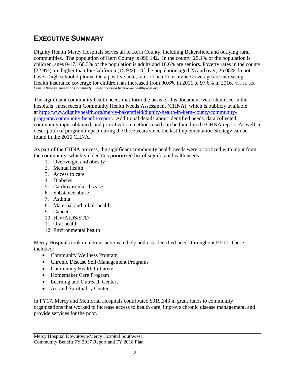### **EXECUTIVE SUMMARY**

Dignity Health Mercy Hospitals serves all of Kern County, including Bakersfield and outlying rural communities. The population of Kern County is 896,142. In the county, 29.1% of the population is children, ages 0-17. 60.3% of the population is adults and 10.6% are seniors. Poverty rates in the county (22.9%) are higher than for California (15.9%). Of the population aged 25 and over, 26.08% do not have a high school diploma. On a positive note, rates of health insurance coverage are increasing. Health insurance coverage for children has increased from 90.6% in 2011 to 97.6% in 2016. *(Source: U.S. Census Bureau, American Community Survey accessed from www.healthykern.org.)*

The significant community health needs that form the basis of this document were identified in the hospitals' most recent Community Health Needs Assessment (CHNA), which is publicly available at [http://www.dignityhealth.org/mercy-bakersfield/dignity-health-in-kern-county/community](http://www.dignityhealth.org/mercy-bakersfield/dignity-health-in-kern-county/community-programs/community-benefit-report)[programs/community-benefit-report.](http://www.dignityhealth.org/mercy-bakersfield/dignity-health-in-kern-county/community-programs/community-benefit-report) Additional details about identified needs, data collected, community input obtained, and prioritization methods used can be found in the CHNA report. As well, a description of program impact during the three years since the last Implementation Strategy can be found in the 2016 CHNA.

As part of the CHNA process, the significant community health needs were prioritized with input from the community, which yielded this prioritized list of significant health needs:

- 1. Overweight and obesity
- 2. Mental health
- 3. Access to care
- 4. Diabetes
- 5. Cardiovascular disease
- 6. Substance abuse
- 7. Asthma
- 8. Maternal and infant health
- 9. Cancer
- 10. HIV/AIDS/STD
- 11. Oral health
- 12. Environmental health

Mercy Hospitals took numerous actions to help address identified needs throughout FY17. These included:

- Community Wellness Program
- Chronic Disease Self-Management Programs
- Community Health Initiative
- Homemaker Care Program
- Learning and Outreach Centers
- Art and Spirituality Center

In FY17, Mercy and Memorial Hospitals contributed \$319,343 in grant funds to community organizations that worked to increase access to health care, improve chronic disease management, and provide services for the poor.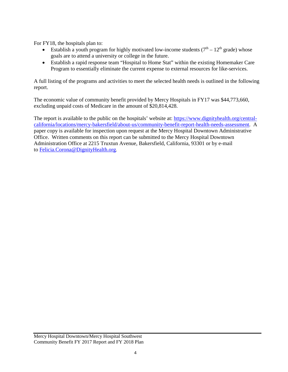For FY18, the hospitals plan to:

- Establish a youth program for highly motivated low-income students  $(7<sup>th</sup> 12<sup>th</sup>$  grade) whose goals are to attend a university or college in the future.
- Establish a rapid response team "Hospital to Home Stat" within the existing Homemaker Care Program to essentially eliminate the current expense to external resources for like-services.

A full listing of the programs and activities to meet the selected health needs is outlined in the following report.

The economic value of community benefit provided by Mercy Hospitals in FY17 was \$44,773,660, excluding unpaid costs of Medicare in the amount of \$20,814,428.

The report is available to the public on the hospitals' website at: [https://www.dignityhealth.org/central](https://www.dignityhealth.org/central-california/locations/mercy-bakersfield/about-us/community-benefit-report-health-needs-assessment)[california/locations/mercy-bakersfield/about-us/community-benefit-report-health-needs-assessment.](https://www.dignityhealth.org/central-california/locations/mercy-bakersfield/about-us/community-benefit-report-health-needs-assessment) A paper copy is available for inspection upon request at the Mercy Hospital Downtown Administrative Office. Written comments on this report can be submitted to the Mercy Hospital Downtown Administration Office at 2215 Truxtun Avenue, Bakersfield, California, 93301 or by e-mail to [Felicia.Corona@DignityHealth.org.](mailto:Felicia.Corona@DignityHealth.org)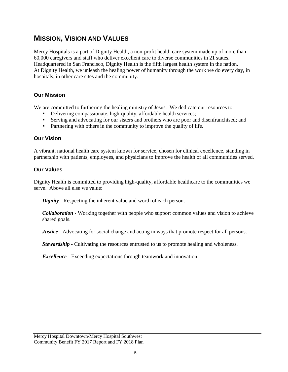### **MISSION, VISION AND VALUES**

Mercy Hospitals is a part of Dignity Health, a non-profit health care system made up of more than 60,000 caregivers and staff who deliver excellent care to diverse communities in 21 states. Headquartered in San Francisco, Dignity Health is the fifth largest health system in the nation. At Dignity Health, we unleash the healing power of humanity through the work we do every day, in hospitals, in other care sites and the community.

#### **Our Mission**

We are committed to furthering the healing ministry of Jesus. We dedicate our resources to:

- Delivering compassionate, high-quality, affordable health services;
- Serving and advocating for our sisters and brothers who are poor and disenfranchised; and
- Partnering with others in the community to improve the quality of life.

#### **Our Vision**

A vibrant, national health care system known for service, chosen for clinical excellence, standing in partnership with patients, employees, and physicians to improve the health of all communities served.

#### **Our Values**

Dignity Health is committed to providing high-quality, affordable healthcare to the communities we serve. Above all else we value:

*Dignity* - Respecting the inherent value and worth of each person.

*Collaboration* - Working together with people who support common values and vision to achieve shared goals.

*Justice* - Advocating for social change and acting in ways that promote respect for all persons.

*Stewardship* - Cultivating the resources entrusted to us to promote healing and wholeness.

*Excellence* - Exceeding expectations through teamwork and innovation.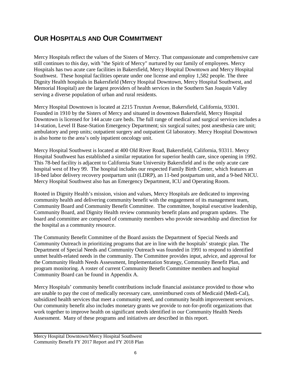### **OUR HOSPITALS AND OUR COMMITMENT**

Mercy Hospitals reflect the values of the Sisters of Mercy. That compassionate and comprehensive care still continues to this day, with "the Spirit of Mercy" nurtured by our family of employees. Mercy Hospitals has two acute care facilities in Bakersfield, Mercy Hospital Downtown and Mercy Hospital Southwest. These hospital facilities operate under one license and employ 1,582 people. The three Dignity Health hospitals in Bakersfield (Mercy Hospital Downtown, Mercy Hospital Southwest, and Memorial Hospital) are the largest providers of health services in the Southern San Joaquin Valley serving a diverse population of urban and rural residents.

Mercy Hospital Downtown is located at 2215 Truxtun Avenue, Bakersfield, California, 93301. Founded in 1910 by the Sisters of Mercy and situated in downtown Bakersfield, Mercy Hospital Downtown is licensed for 144 acute care beds. The full range of medical and surgical services includes a 14-station, Level II Base-Station Emergency Department; six surgical suites; post anesthesia care unit; ambulatory and prep units; outpatient surgery and outpatient GI laboratory. Mercy Hospital Downtown is also home to the area's only inpatient oncology unit.

Mercy Hospital Southwest is located at 400 Old River Road, Bakersfield, California, 93311. Mercy Hospital Southwest has established a similar reputation for superior health care, since opening in 1992. This 78-bed facility is adjacent to California State University Bakersfield and is the only acute care hospital west of Hwy 99. The hospital includes our respected Family Birth Center, which features an 18-bed labor delivery recovery postpartum unit (LDRP), an 11-bed postpartum unit, and a 9-bed NICU. Mercy Hospital Southwest also has an Emergency Department, ICU and Operating Room.

Rooted in Dignity Health's mission, vision and values, Mercy Hospitals are dedicated to improving community health and delivering community benefit with the engagement of its management team, Community Board and Community Benefit Committee. The committee, hospital executive leadership, Community Board, and Dignity Health review community benefit plans and program updates. The board and committee are composed of community members who provide stewardship and direction for the hospital as a community resource.

The Community Benefit Committee of the Board assists the Department of Special Needs and Community Outreach in prioritizing programs that are in line with the hospitals' strategic plan. The Department of Special Needs and Community Outreach was founded in 1991 to respond to identified unmet health-related needs in the community. The Committee provides input, advice, and approval for the Community Health Needs Assessment, Implementation Strategy, Community Benefit Plan, and program monitoring. A roster of current Community Benefit Committee members and hospital Community Board can be found in Appendix A.

Mercy Hospitals' community benefit contributions include financial assistance provided to those who are unable to pay the cost of medically necessary care, unreimbursed costs of Medicaid (Medi-Cal), subsidized health services that meet a community need, and community health improvement services. Our community benefit also includes monetary grants we provide to not-for-profit organizations that work together to improve health on significant needs identified in our Community Health Needs Assessment. Many of these programs and initiatives are described in this report.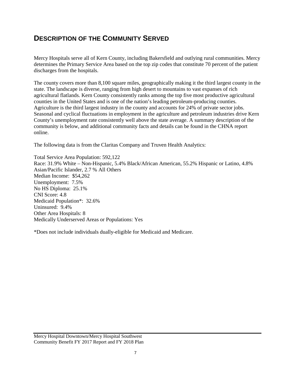### **DESCRIPTION OF THE COMMUNITY SERVED**

Mercy Hospitals serve all of Kern County, including Bakersfield and outlying rural communities. Mercy determines the Primary Service Area based on the top zip codes that constitute 70 percent of the patient discharges from the hospitals.

The county covers more than 8,100 square miles, geographically making it the third largest county in the state. The landscape is diverse, ranging from high desert to mountains to vast expanses of rich agricultural flatlands. Kern County consistently ranks among the top five most productive agricultural counties in the United States and is one of the nation's leading petroleum-producing counties. Agriculture is the third largest industry in the county and accounts for 24% of private sector jobs. Seasonal and cyclical fluctuations in employment in the agriculture and petroleum industries drive Kern County's unemployment rate consistently well above the state average. A summary description of the community is below, and additional community facts and details can be found in the CHNA report online.

The following data is from the Claritas Company and Truven Health Analytics:

Total Service Area Population: 592,122 Race: 31.9% White – Non-Hispanic, 5.4% Black/African American, 55.2% Hispanic or Latino, 4.8% Asian/Pacific Islander, 2.7 % All Others Median Income: \$54,262 Unemployment: 7.5% No HS Diploma: 25.1% CNI Score: 4.8 Medicaid Population\*: 32.6% Uninsured: 9.4% Other Area Hospitals: 8 Medically Underserved Areas or Populations: Yes

\*Does not include individuals dually-eligible for Medicaid and Medicare.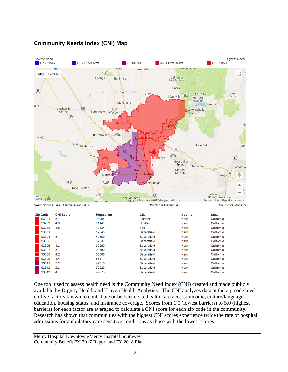#### **Community Needs Index (CNI) Map**



One tool used to assess health need is the Community Need Index (CNI) created and made publicly available by Dignity Health and Truven Health Analytics. The CNI analyzes data at the zip code level on five factors known to contribute or be barriers to health care access: income, culture/language, education, housing status, and insurance coverage. Scores from 1.0 (lowest barriers) to 5.0 (highest barriers) for each factor are averaged to calculate a CNI score for each zip code in the community. Research has shown that communities with the highest CNI scores experience twice the rate of hospital admissions for ambulatory care sensitive conditions as those with the lowest scores.

**Bakersfield** 

**Bakersfield** 

**Bakersfield** 

**Bakersfield** 

**Bakersfield** 

Kern

Kern

Kern

Kern

Kern

California

California

California

California

California

55886

58411

47715

62222

49673

93308

93309

93311

93312

93313

 $4.2$ 

 $4.4$ 

 $3.2$ 

 $2.6$ 

 $\overline{4}$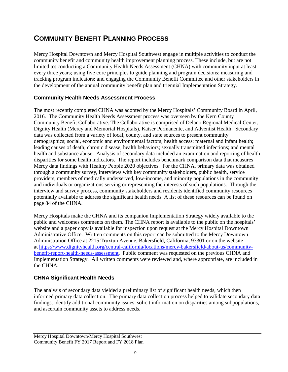### **COMMUNITY BENEFIT PLANNING PROCESS**

Mercy Hospital Downtown and Mercy Hospital Southwest engage in multiple activities to conduct the community benefit and community health improvement planning process. These include, but are not limited to: conducting a Community Health Needs Assessment (CHNA) with community input at least every three years; using five core principles to guide planning and program decisions; measuring and tracking program indicators; and engaging the Community Benefit Committee and other stakeholders in the development of the annual community benefit plan and triennial Implementation Strategy.

#### **Community Health Needs Assessment Process**

The most recently completed CHNA was adopted by the Mercy Hospitals' Community Board in April, 2016. The Community Health Needs Assessment process was overseen by the Kern County Community Benefit Collaborative. The Collaborative is comprised of Delano Regional Medical Center, Dignity Health (Mercy and Memorial Hospitals), Kaiser Permanente, and Adventist Health. Secondary data was collected from a variety of local, county, and state sources to present community demographics; social, economic and environmental factors; health access; maternal and infant health; leading causes of death; chronic disease; health behaviors; sexually transmitted infections; and mental health and substance abuse. Analysis of secondary data included an examination and reporting of health disparities for some health indicators. The report includes benchmark comparison data that measures Mercy data findings with Healthy People 2020 objectives. For the CHNA, primary data was obtained through a community survey, interviews with key community stakeholders, public health, service providers, members of medically underserved, low-income, and minority populations in the community and individuals or organizations serving or representing the interests of such populations. Through the interview and survey process, community stakeholders and residents identified community resources potentially available to address the significant health needs. A list of these resources can be found on page 84 of the CHNA.

Mercy Hospitals make the CHNA and its companion Implementation Strategy widely available to the public and welcomes comments on them. The CHNA report is available to the public on the hospitals' website and a paper copy is available for inspection upon request at the Mercy Hospital Downtown Administrative Office. Written comments on this report can be submitted to the Mercy Downtown Administration Office at 2215 Truxtun Avenue, Bakersfield, California, 93301 or on the website at [https://www.dignityhealth.org/central-california/locations/mercy-bakersfield/about-us/community](https://www.dignityhealth.org/central-california/locations/mercy-bakersfield/about-us/community-benefit-report-health-needs-assessment)[benefit-report-health-needs-assessment.](https://www.dignityhealth.org/central-california/locations/mercy-bakersfield/about-us/community-benefit-report-health-needs-assessment) Public comment was requested on the previous CHNA and Implementation Strategy. All written comments were reviewed and, where appropriate, are included in the CHNA.

#### **CHNA Significant Health Needs**

The analysis of secondary data yielded a preliminary list of significant health needs, which then informed primary data collection. The primary data collection process helped to validate secondary data findings, identify additional community issues, solicit information on disparities among subpopulations, and ascertain community assets to address needs.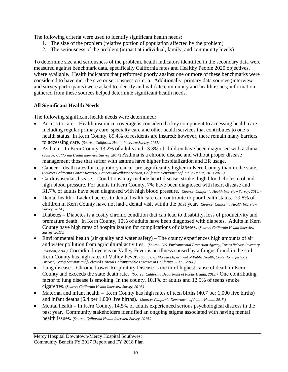The following criteria were used to identify significant health needs:

- 1. The size of the problem (relative portion of population affected by the problem)
- 2. The seriousness of the problem (impact at individual, family, and community levels)

To determine size and seriousness of the problem, health indicators identified in the secondary data were measured against benchmark data, specifically California rates and Healthy People 2020 objectives, where available. Health indicators that performed poorly against one or more of these benchmarks were considered to have met the size or seriousness criteria. Additionally, primary data sources (interview and survey participants) were asked to identify and validate community and health issues; information gathered from these sources helped determine significant health needs.

#### **All Significant Health Needs**

The following significant health needs were determined:

- Access to care Health insurance coverage is considered a key component to accessing health care including regular primary care, specialty care and other health services that contributes to one's health status. In Kern County, 89.4% of residents are insured; however, there remain many barriers to accessing care. (*Source: California Health Interview Survey, 2017.)*
- Asthma In Kern County 13.2% of adults and 13.3% of children have been diagnosed with asthma. (*Source: California Health Interview Survey, 2014.)* Asthma is a chronic disease and without proper disease management those that suffer with asthma have higher hospitalization and ER usage.
- Cancer death rates for respiratory cancer are significantly higher in Kern County than in the state. (*Source: California Cancer Registry, Cancer Surveillance Section, California Department of Public Health, 2013-2015.)*
- Cardiovascular disease Conditions may include heart disease, stroke, high blood cholesterol and high blood pressure. For adults in Kern County, 7% have been diagnosed with heart disease and 31.7% of adults have been diagnosed with high blood pressure. (*Source: California Health Interview Survey, 2014.)*
- Dental health Lack of access to dental health care can contribute to poor health status. 29.8% of children in Kern County have not had a dental visit within the past year. (*Source: California Health Interview Survey, 2014.)*
- Diabetes Diabetes is a costly chronic condition that can lead to disability, loss of productivity and premature death. In Kern County, 10% of adults have been diagnosed with diabetes. Adults in Kern County have high rates of hospitalization for complications of diabetes. (*Source: California Health Interview Survey, 2017.)*
- Environmental health (air quality and water safety) The county experiences high amounts of air and water pollution from agricultural activities. (*Source: U.S. Environmental Protection Agency, Toxics Release Inventory Program, 2014.)* Coccidioidmycosis or Valley Fever is an illness caused by a fungus found in the soil. Kern County has high rates of Valley Fever. (*Source: California Department of Public Health, Center for Infectious Disease, Yearly Summaries of Selected General Communicable Diseases in California, 2011 – 2014.)*
- Lung disease Chronic Lower Respiratory Disease is the third highest cause of death in Kern County and exceeds the state death rate. (*Source: California Department of Public Health, 2013.)* One contributing factor to lung disease is smoking. In the county, 10.1% of adults and 12.5% of teens smoke cigarettes. (*Source: California Health Interview Survey, 2014.)*
- Maternal and infant health Kern County has high rates of teen births (40.7 per 1,000 live births) and infant deaths (6.4 per 1,000 live births). (*Source: California Department of Public Health, 2015.)*
- Mental health In Kern County, 14.5% of adults experienced serious psychological distress in the past year. Community stakeholders identified an ongoing stigma associated with having mental health issues. (*Source: California Health Interview Survey, 2014.)*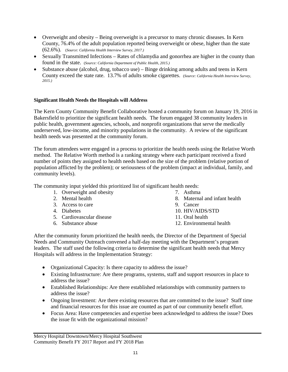- Overweight and obesity Being overweight is a precursor to many chronic diseases. In Kern County, 76.4% of the adult population reported being overweight or obese, higher than the state (62.6%). (*Source: California Health Interview Survey, 2017.)*
- Sexually Transmitted Infections Rates of chlamydia and gonorrhea are higher in the county than found in the state. (*Source: California Department of Public Health, 2015.)*
- Substance abuse (alcohol, drug, tobacco use) Binge drinking among adults and teens in Kern County exceed the state rate. 13.7% of adults smoke cigarettes. (*Source: California Health Interview Survey, 2015.)*

#### **Significant Health Needs the Hospitals will Address**

The Kern County Community Benefit Collaborative hosted a community forum on January 19, 2016 in Bakersfield to prioritize the significant health needs. The forum engaged 38 community leaders in public health, government agencies, schools, and nonprofit organizations that serve the medically underserved, low-income, and minority populations in the community. A review of the significant health needs was presented at the community forum.

The forum attendees were engaged in a process to prioritize the health needs using the Relative Worth method. The Relative Worth method is a ranking strategy where each participant received a fixed number of points they assigned to health needs based on the size of the problem (relative portion of population afflicted by the problem); or seriousness of the problem (impact at individual, family, and community levels).

The community input yielded this prioritized list of significant health needs:

- 1. Overweight and obesity
- 2. Mental health
- 3. Access to care
- 4. Diabetes
- 5. Cardiovascular disease
- 6. Substance abuse
- 7. Asthma
- 8. Maternal and infant health
- 9. Cancer
- 10. HIV/AIDS/STD
- 11. Oral health
- 12. Environmental health

After the community forum prioritized the health needs, the Director of the Department of Special Needs and Community Outreach convened a half-day meeting with the Department's program leaders. The staff used the following criteria to determine the significant health needs that Mercy Hospitals will address in the Implementation Strategy:

- Organizational Capacity: Is there capacity to address the issue?
- Existing Infrastructure: Are there programs, systems, staff and support resources in place to address the issue?
- Established Relationships: Are there established relationships with community partners to address the issue?
- Ongoing Investment: Are there existing resources that are committed to the issue? Staff time and financial resources for this issue are counted as part of our community benefit effort.
- Focus Area: Have competencies and expertise been acknowledged to address the issue? Does the issue fit with the organizational mission?

Mercy Hospital Downtown/Mercy Hospital Southwest Community Benefit FY 2017 Report and FY 2018 Plan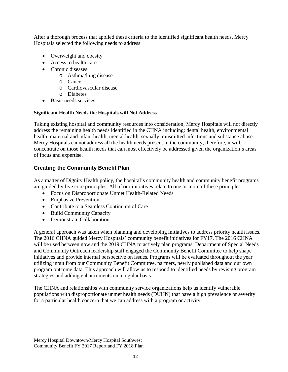After a thorough process that applied these criteria to the identified significant health needs, Mercy Hospitals selected the following needs to address:

- Overweight and obesity
- Access to health care
- Chronic diseases
	- o Asthma/lung disease
	- o Cancer
	- o Cardiovascular disease
	- o Diabetes
- Basic needs services

#### **Significant Health Needs the Hospitals will Not Address**

Taking existing hospital and community resources into consideration, Mercy Hospitals will not directly address the remaining health needs identified in the CHNA including: dental health, environmental health, maternal and infant health, mental health, sexually transmitted infections and substance abuse. Mercy Hospitals cannot address all the health needs present in the community; therefore, it will concentrate on those health needs that can most effectively be addressed given the organization's areas of focus and expertise.

#### **Creating the Community Benefit Plan**

As a matter of Dignity Health policy, the hospital's community health and community benefit programs are guided by five core principles. All of our initiatives relate to one or more of these principles:

- Focus on Disproportionate Unmet Health-Related Needs
- Emphasize Prevention
- Contribute to a Seamless Continuum of Care
- Build Community Capacity
- Demonstrate Collaboration

A general approach was taken when planning and developing initiatives to address priority health issues. The 2016 CHNA guided Mercy Hospitals' community benefit initiatives for FY17. The 2016 CHNA will be used between now and the 2019 CHNA to actively plan programs. Department of Special Needs and Community Outreach leadership staff engaged the Community Benefit Committee to help shape initiatives and provide internal perspective on issues. Programs will be evaluated throughout the year utilizing input from our Community Benefit Committee, partners, newly published data and our own program outcome data. This approach will allow us to respond to identified needs by revising program strategies and adding enhancements on a regular basis.

The CHNA and relationships with community service organizations help us identify vulnerable populations with disproportionate unmet health needs (DUHN) that have a high prevalence or severity for a particular health concern that we can address with a program or activity.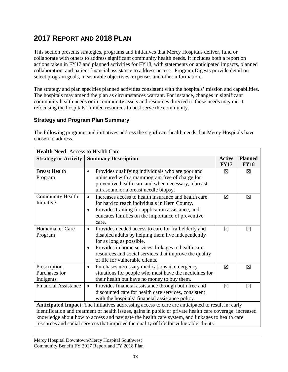### **2017 REPORT AND 2018 PLAN**

This section presents strategies, programs and initiatives that Mercy Hospitals deliver, fund or collaborate with others to address significant community health needs. It includes both a report on actions taken in FY17 and planned activities for FY18, with statements on anticipated impacts, planned collaboration, and patient financial assistance to address access. Program Digests provide detail on select program goals, measurable objectives, expenses and other information.

The strategy and plan specifies planned activities consistent with the hospitals' mission and capabilities. The hospitals may amend the plan as circumstances warrant. For instance, changes in significant community health needs or in community assets and resources directed to those needs may merit refocusing the hospitals' limited resources to best serve the community.

#### **Strategy and Program Plan Summary**

The following programs and initiatives address the significant health needs that Mercy Hospitals have chosen to address.

| <b>Health Need: Access to Health Care</b>                                                                                                                                                                                                                                                                                                                                                                  |                                                                                                                                                                                                                                                                                                                     |                              |                               |
|------------------------------------------------------------------------------------------------------------------------------------------------------------------------------------------------------------------------------------------------------------------------------------------------------------------------------------------------------------------------------------------------------------|---------------------------------------------------------------------------------------------------------------------------------------------------------------------------------------------------------------------------------------------------------------------------------------------------------------------|------------------------------|-------------------------------|
| <b>Strategy or Activity</b>                                                                                                                                                                                                                                                                                                                                                                                | <b>Summary Description</b>                                                                                                                                                                                                                                                                                          | <b>Active</b><br><b>FY17</b> | <b>Planned</b><br><b>FY18</b> |
| <b>Breast Health</b><br>Program                                                                                                                                                                                                                                                                                                                                                                            | Provides qualifying individuals who are poor and<br>$\bullet$<br>uninsured with a mammogram free of charge for<br>preventive health care and when necessary, a breast<br>ultrasound or a breast needle biopsy.                                                                                                      | $\boxtimes$                  | $\boxtimes$                   |
| <b>Community Health</b><br>Initiative                                                                                                                                                                                                                                                                                                                                                                      | Increases access to health insurance and health care<br>$\bullet$<br>for hard to reach individuals in Kern County.<br>Provides training for application assistance, and<br>$\bullet$<br>educates families on the importance of preventive<br>care.                                                                  | $\boxtimes$                  | ⊠                             |
| Homemaker Care<br>Program                                                                                                                                                                                                                                                                                                                                                                                  | Provides needed access to care for frail elderly and<br>$\bullet$<br>disabled adults by helping them live independently<br>for as long as possible.<br>Provides in home services, linkages to health care<br>$\bullet$<br>resources and social services that improve the quality<br>of life for vulnerable clients. | ⊠                            | ⊠                             |
| Prescription<br>Purchases for<br>Indigents                                                                                                                                                                                                                                                                                                                                                                 | Purchases necessary medications in emergency<br>$\bullet$<br>situations for people who must have the medicines for<br>their health but have no money to buy them.                                                                                                                                                   | $\boxtimes$                  | ⊠                             |
| <b>Financial Assistance</b>                                                                                                                                                                                                                                                                                                                                                                                | Provides financial assistance through both free and<br>$\bullet$<br>discounted care for health care services, consistent<br>with the hospitals' financial assistance policy.                                                                                                                                        | $\boxtimes$                  | ⊠                             |
| Anticipated Impact: The initiatives addressing access to care are anticipated to result in: early<br>identification and treatment of health issues, gains in public or private health care coverage, increased<br>knowledge about how to access and navigate the health care system, and linkages to health care<br>resources and social services that improve the quality of life for vulnerable clients. |                                                                                                                                                                                                                                                                                                                     |                              |                               |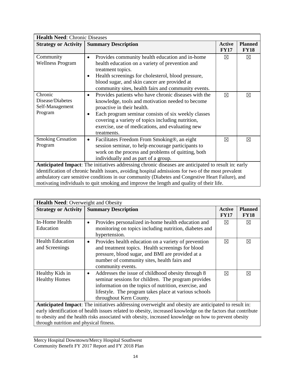| <b>Health Need: Chronic Diseases</b>                                                                |                                                                      |                              |                               |
|-----------------------------------------------------------------------------------------------------|----------------------------------------------------------------------|------------------------------|-------------------------------|
| <b>Strategy or Activity</b>                                                                         | <b>Summary Description</b>                                           | <b>Active</b><br><b>FY17</b> | <b>Planned</b><br><b>FY18</b> |
| Community                                                                                           | Provides community health education and in-home<br>$\bullet$         | ⊠                            | $\boxtimes$                   |
| <b>Wellness Program</b>                                                                             | health education on a variety of prevention and<br>treatment topics. |                              |                               |
|                                                                                                     | Health screenings for cholesterol, blood pressure,<br>٠              |                              |                               |
|                                                                                                     | blood sugar, and skin cancer are provided at                         |                              |                               |
|                                                                                                     | community sites, health fairs and community events.                  |                              |                               |
| Chronic                                                                                             | Provides patients who have chronic diseases with the<br>$\bullet$    | $\boxtimes$                  | $\boxtimes$                   |
| Disease/Diabetes                                                                                    | knowledge, tools and motivation needed to become                     |                              |                               |
| Self-Management                                                                                     | proactive in their health.                                           |                              |                               |
| Program                                                                                             | Each program seminar consists of six weekly classes<br>$\bullet$     |                              |                               |
|                                                                                                     | covering a variety of topics including nutrition,                    |                              |                               |
|                                                                                                     | exercise, use of medications, and evaluating new                     |                              |                               |
|                                                                                                     | treatments.                                                          |                              |                               |
| <b>Smoking Cessation</b>                                                                            | Facilitates Freedom From Smoking®, an eight<br>٠                     | $\boxtimes$                  | $\boxtimes$                   |
| Program                                                                                             | session seminar, to help encourage participants to                   |                              |                               |
|                                                                                                     | work on the process and problems of quitting, both                   |                              |                               |
|                                                                                                     | individually and as part of a group.                                 |                              |                               |
| Anticipated Impact: The initiatives addressing chronic diseases are anticipated to result in: early |                                                                      |                              |                               |
| identification of chronic health issues, avoiding hospital admissions for two of the most prevalent |                                                                      |                              |                               |
| ambulatory care sensitive conditions in our community (Diabetes and Congestive Heart Failure), and  |                                                                      |                              |                               |
| motivating individuals to quit smoking and improve the length and quality of their life.            |                                                                      |                              |                               |

| <b>Health Need: Overweight and Obesity</b>                                                                                                                                                                                                                        |                                                                                                                                                                                                                                                                     |                              |                               |
|-------------------------------------------------------------------------------------------------------------------------------------------------------------------------------------------------------------------------------------------------------------------|---------------------------------------------------------------------------------------------------------------------------------------------------------------------------------------------------------------------------------------------------------------------|------------------------------|-------------------------------|
| <b>Strategy or Activity</b>                                                                                                                                                                                                                                       | <b>Summary Description</b>                                                                                                                                                                                                                                          | <b>Active</b><br><b>FY17</b> | <b>Planned</b><br><b>FY18</b> |
| In-Home Health<br>Education                                                                                                                                                                                                                                       | Provides personalized in-home health education and<br>$\bullet$<br>monitoring on topics including nutrition, diabetes and<br>hypertension.                                                                                                                          | $\boxtimes$                  | $\boxtimes$                   |
| <b>Health Education</b><br>and Screenings                                                                                                                                                                                                                         | Provides health education on a variety of prevention<br>$\bullet$<br>and treatment topics. Health screenings for blood<br>pressure, blood sugar, and BMI are provided at a<br>number of community sites, health fairs and<br>community events.                      | $\boxtimes$                  | $\boxtimes$                   |
| Healthy Kids in<br><b>Healthy Homes</b>                                                                                                                                                                                                                           | Addresses the issue of childhood obesity through 8<br>$\bullet$<br>seminar sessions for children. The program provides<br>information on the topics of nutrition, exercise, and<br>lifestyle. The program takes place at various schools<br>throughout Kern County. | $\boxtimes$                  | ⊠                             |
| Anticipated Impact: The initiatives addressing overweight and obesity are anticipated to result in:                                                                                                                                                               |                                                                                                                                                                                                                                                                     |                              |                               |
| early identification of health issues related to obesity, increased knowledge on the factors that contribute<br>to obesity and the health risks associated with obesity, increased knowledge on how to prevent obesity<br>through nutrition and physical fitness. |                                                                                                                                                                                                                                                                     |                              |                               |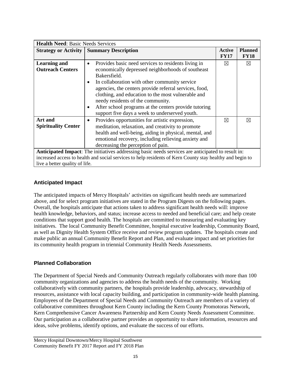| <b>Health Need: Basic Needs Services</b>       |                                                                                                                                                                                                                                                                                                                                                                                                                                                                          |                       |                               |
|------------------------------------------------|--------------------------------------------------------------------------------------------------------------------------------------------------------------------------------------------------------------------------------------------------------------------------------------------------------------------------------------------------------------------------------------------------------------------------------------------------------------------------|-----------------------|-------------------------------|
|                                                | <b>Strategy or Activity   Summary Description</b>                                                                                                                                                                                                                                                                                                                                                                                                                        | Active<br><b>FY17</b> | <b>Planned</b><br><b>FY18</b> |
| <b>Learning and</b><br><b>Outreach Centers</b> | Provides basic need services to residents living in<br>$\bullet$<br>economically depressed neighborhoods of southeast<br>Bakersfield.<br>In collaboration with other community service<br>٠<br>agencies, the centers provide referral services, food,<br>clothing, and education to the most vulnerable and<br>needy residents of the community.<br>After school programs at the centers provide tutoring<br>$\bullet$<br>support five days a week to underserved youth. | $\boxtimes$           | $\boxtimes$                   |
| Art and<br><b>Spirituality Center</b>          | Provides opportunities for artistic expression,<br>$\bullet$<br>meditation, relaxation, and creativity to promote<br>health and well-being, aiding in physical, mental, and<br>emotional recovery, including relieving anxiety and<br>decreasing the perception of pain.                                                                                                                                                                                                 | ⊠                     | ⊠                             |
| live a better quality of life.                 | Anticipated Impact: The initiatives addressing basic needs services are anticipated to result in:<br>increased access to health and social services to help residents of Kern County stay healthy and begin to                                                                                                                                                                                                                                                           |                       |                               |

#### **Anticipated Impact**

The anticipated impacts of Mercy Hospitals' activities on significant health needs are summarized above, and for select program initiatives are stated in the Program Digests on the following pages. Overall, the hospitals anticipate that actions taken to address significant health needs will: improve health knowledge, behaviors, and status; increase access to needed and beneficial care; and help create conditions that support good health. The hospitals are committed to measuring and evaluating key initiatives. The local Community Benefit Committee, hospital executive leadership, Community Board, as well as Dignity Health System Office receive and review program updates. The hospitals create and make public an annual Community Benefit Report and Plan, and evaluate impact and set priorities for its community health program in triennial Community Health Needs Assessments.

#### **Planned Collaboration**

The Department of Special Needs and Community Outreach regularly collaborates with more than 100 community organizations and agencies to address the health needs of the community. Working collaboratively with community partners, the hospitals provide leadership, advocacy, stewardship of resources, assistance with local capacity building, and participation in community-wide health planning. Employees of the Department of Special Needs and Community Outreach are members of a variety of collaborative committees throughout Kern County including the Kern County Promotoras Network, Kern Comprehensive Cancer Awareness Partnership and Kern County Needs Assessment Committee. Our participation as a collaborative partner provides an opportunity to share information, resources and ideas, solve problems, identify options, and evaluate the success of our efforts.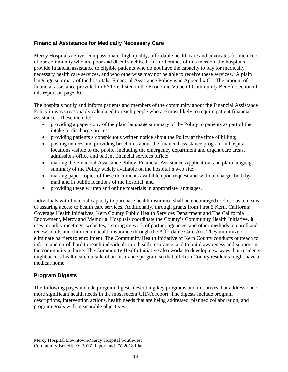#### **Financial Assistance for Medically Necessary Care**

Mercy Hospitals deliver compassionate, high quality, affordable health care and advocates for members of our community who are poor and disenfranchised. In furtherance of this mission, the hospitals provide financial assistance to eligible patients who do not have the capacity to pay for medically necessary health care services, and who otherwise may not be able to receive these services. A plain language summary of the hospitals' Financial Assistance Policy is in Appendix C. The amount of financial assistance provided in FY17 is listed in the Economic Value of Community Benefit section of this report on page 30.

The hospitals notify and inform patients and members of the community about the Financial Assistance Policy in ways reasonably calculated to reach people who are most likely to require patient financial assistance. These include:

- providing a paper copy of the plain language summary of the Policy to patients as part of the intake or discharge process;
- providing patients a conspicuous written notice about the Policy at the time of billing;
- posting notices and providing brochures about the financial assistance program in hospital locations visible to the public, including the emergency department and urgent care areas, admissions office and patient financial services office;
- making the Financial Assistance Policy, Financial Assistance Application, and plain language summary of the Policy widely available on the hospital's web site;
- making paper copies of these documents available upon request and without charge, both by mail and in public locations of the hospital; and
- providing these written and online materials in appropriate languages.

Individuals with financial capacity to purchase health insurance shall be encouraged to do so as a means of assuring access to health care services. Additionally, through grants from First 5 Kern, California Coverage Health Initiatives, Kern County Public Health Services Department and The California Endowment, Mercy and Memorial Hospitals coordinate the County's Community Health Initiative. It uses monthly meetings, websites, a strong network of partner agencies, and other methods to enroll and renew adults and children in health insurance through the Affordable Care Act. They minimize or eliminate barriers to enrollment. The Community Health Initiative of Kern County conducts outreach to inform and enroll hard to reach individuals into health insurance, and to build awareness and support in the community at large. The Community Health Initiative also works to develop new ways that residents might access health care outside of an insurance program so that all Kern County residents might have a medical home.

#### **Program Digests**

The following pages include program digests describing key programs and initiatives that address one or more significant health needs in the most recent CHNA report. The digests include program descriptions, intervention actions, health needs that are being addressed, planned collaboration, and program goals with measurable objectives.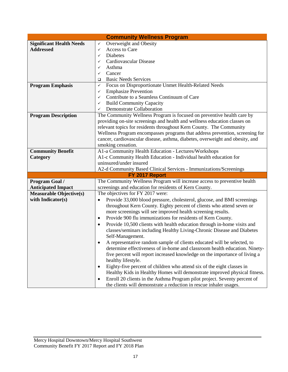|                                 | <b>Community Wellness Program</b>                                                          |
|---------------------------------|--------------------------------------------------------------------------------------------|
| <b>Significant Health Needs</b> | Overweight and Obesity<br>✓                                                                |
| <b>Addressed</b>                | Access to Care<br>✓                                                                        |
|                                 | <b>Diabetes</b><br>✓                                                                       |
|                                 | Cardiovascular Disease<br>✓                                                                |
|                                 | Asthma<br>✓                                                                                |
|                                 | Cancer<br>✓                                                                                |
|                                 | <b>Basic Needs Services</b><br>$\Box$                                                      |
| <b>Program Emphasis</b>         | Focus on Disproportionate Unmet Health-Related Needs<br>✓                                  |
|                                 | <b>Emphasize Prevention</b><br>✓                                                           |
|                                 | Contribute to a Seamless Continuum of Care<br>✓                                            |
|                                 | <b>Build Community Capacity</b><br>✓                                                       |
|                                 | Demonstrate Collaboration<br>✓                                                             |
| <b>Program Description</b>      | The Community Wellness Program is focused on preventive health care by                     |
|                                 | providing on-site screenings and health and wellness education classes on                  |
|                                 | relevant topics for residents throughout Kern County. The Community                        |
|                                 | Wellness Program encompasses programs that address prevention, screening for               |
|                                 | cancer, cardiovascular disease, asthma, diabetes, overweight and obesity, and              |
|                                 | smoking cessation.                                                                         |
| <b>Community Benefit</b>        | A1-a Community Health Education - Lectures/Workshops                                       |
| Category                        | A1-c Community Health Education - Individual health education for                          |
|                                 | uninsured/under insured                                                                    |
|                                 | A2-d Community Based Clinical Services - Immunizations/Screenings                          |
|                                 | FY 2017 Report                                                                             |
| Program Goal /                  | The Community Wellness Program will increase access to preventive health                   |
| <b>Anticipated Impact</b>       | screenings and education for residents of Kern County.                                     |
| <b>Measurable Objective(s)</b>  | The objectives for FY 2017 were:                                                           |
| with Indicator(s)               | Provide 33,000 blood pressure, cholesterol, glucose, and BMI screenings                    |
|                                 | throughout Kern County. Eighty percent of clients who attend seven or                      |
|                                 | more screenings will see improved health screening results.                                |
|                                 | Provide 900 flu immunizations for residents of Kern County.<br>$\bullet$                   |
|                                 | Provide 10,500 clients with health education through in-home visits and<br>$\bullet$       |
|                                 | classes/seminars including Healthy Living-Chronic Disease and Diabetes<br>Self-Management. |
|                                 | A representative random sample of clients educated will be selected, to                    |
|                                 | determine effectiveness of in-home and classroom health education. Ninety-                 |
|                                 | five percent will report increased knowledge on the importance of living a                 |
|                                 | healthy lifestyle.                                                                         |
|                                 | Eighty-five percent of children who attend six of the eight classes in<br>$\bullet$        |
|                                 | Healthy Kids in Healthy Homes will demonstrate improved physical fitness.                  |
|                                 | Enroll 20 clients in the Asthma Program pilot project. Seventy percent of<br>٠             |
|                                 | the clients will demonstrate a reduction in rescue inhaler usages.                         |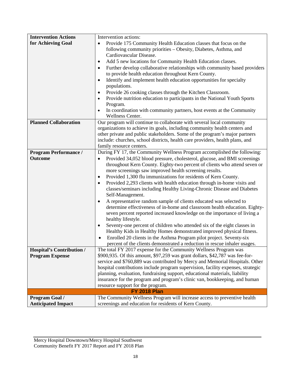| <b>Intervention Actions</b>                                | Intervention actions:                                                                                                                         |
|------------------------------------------------------------|-----------------------------------------------------------------------------------------------------------------------------------------------|
| for Achieving Goal                                         | Provide 175 Community Health Education classes that focus on the<br>$\bullet$                                                                 |
|                                                            | following community priorities - Obesity, Diabetes, Asthma, and                                                                               |
|                                                            | Cardiovascular Disease.                                                                                                                       |
|                                                            | Add 5 new locations for Community Health Education classes.<br>$\bullet$                                                                      |
|                                                            | Further develop collaborative relationships with community based providers<br>$\bullet$                                                       |
|                                                            | to provide health education throughout Kern County.                                                                                           |
|                                                            | Identify and implement health education opportunities for specialty<br>$\bullet$                                                              |
|                                                            | populations.                                                                                                                                  |
|                                                            | Provide 26 cooking classes through the Kitchen Classroom.                                                                                     |
|                                                            | Provide nutrition education to participants in the National Youth Sports                                                                      |
|                                                            | Program.                                                                                                                                      |
|                                                            | In coordination with community partners, host events at the Community<br>$\bullet$                                                            |
| <b>Planned Collaboration</b>                               | Wellness Center.<br>Our program will continue to collaborate with several local community                                                     |
|                                                            | organizations to achieve its goals, including community health centers and                                                                    |
|                                                            | other private and public stakeholders. Some of the program's major partners                                                                   |
|                                                            | include: churches, school districts, health care providers, health plans, and                                                                 |
|                                                            | family resource centers.                                                                                                                      |
| <b>Program Performance /</b>                               | During FY 17, the Community Wellness Program accomplished the following:                                                                      |
| <b>Outcome</b>                                             | Provided 34,052 blood pressure, cholesterol, glucose, and BMI screenings<br>$\bullet$                                                         |
|                                                            | throughout Kern County. Eighty-two percent of clients who attend seven or                                                                     |
|                                                            | more screenings saw improved health screening results.                                                                                        |
|                                                            | Provided 1,300 flu immunizations for residents of Kern County.<br>$\bullet$                                                                   |
|                                                            | Provided 2,293 clients with health education through in-home visits and<br>$\bullet$                                                          |
|                                                            | classes/seminars including Healthy Living-Chronic Disease and Diabetes                                                                        |
|                                                            | Self-Management.                                                                                                                              |
|                                                            | A representative random sample of clients educated was selected to<br>$\bullet$                                                               |
|                                                            | determine effectiveness of in-home and classroom health education. Eighty-                                                                    |
|                                                            | seven percent reported increased knowledge on the importance of living a                                                                      |
|                                                            | healthy lifestyle.                                                                                                                            |
|                                                            | Seventy-one percent of children who attended six of the eight classes in<br>$\bullet$                                                         |
|                                                            | Healthy Kids in Healthy Homes demonstrated improved physical fitness.                                                                         |
|                                                            | Enrolled 20 clients in the Asthma Program pilot project. Seventy-six<br>$\bullet$                                                             |
|                                                            | percent of the clients demonstrated a reduction in rescue inhaler usages.<br>The total FY 2017 expense for the Community Wellness Program was |
| <b>Hospital's Contribution /</b><br><b>Program Expense</b> | \$900,935. Of this amount, \$97,259 was grant dollars, \$42,787 was fee-for-                                                                  |
|                                                            | service and \$760,889 was contributed by Mercy and Memorial Hospitals. Other                                                                  |
|                                                            | hospital contributions include program supervision, facility expenses, strategic                                                              |
|                                                            | planning, evaluation, fundraising support, educational materials, liability                                                                   |
|                                                            | insurance for the program and program's clinic van, bookkeeping, and human                                                                    |
|                                                            | resource support for the program.                                                                                                             |
|                                                            | <b>FY 2018 Plan</b>                                                                                                                           |
| <b>Program Goal /</b>                                      | The Community Wellness Program will increase access to preventive health                                                                      |
| <b>Anticipated Impact</b>                                  | screenings and education for residents of Kern County.                                                                                        |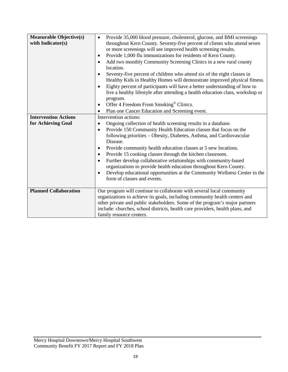| <b>Measurable Objective(s)</b><br>with Indicator(s) | Provide 35,000 blood pressure, cholesterol, glucose, and BMI screenings<br>$\bullet$<br>throughout Kern County. Seventy-five percent of clients who attend seven<br>or more screenings will see improved health screening results.<br>Provide 1,000 flu immunizations for residents of Kern County.<br>$\bullet$<br>Add two monthly Community Screening Clinics in a new rural county<br>$\bullet$<br>location.<br>Seventy-five percent of children who attend six of the eight classes in<br>$\bullet$<br>Healthy Kids in Healthy Homes will demonstrate improved physical fitness.<br>Eighty percent of participants will have a better understanding of how to<br>$\bullet$<br>live a healthy lifestyle after attending a health education class, workshop or |
|-----------------------------------------------------|------------------------------------------------------------------------------------------------------------------------------------------------------------------------------------------------------------------------------------------------------------------------------------------------------------------------------------------------------------------------------------------------------------------------------------------------------------------------------------------------------------------------------------------------------------------------------------------------------------------------------------------------------------------------------------------------------------------------------------------------------------------|
|                                                     | program.<br>Offer 4 Freedom From Smoking® Clinics.<br>$\bullet$<br>Plan one Cancer Education and Screening event.<br>$\bullet$                                                                                                                                                                                                                                                                                                                                                                                                                                                                                                                                                                                                                                   |
| <b>Intervention Actions</b>                         | Intervention actions:                                                                                                                                                                                                                                                                                                                                                                                                                                                                                                                                                                                                                                                                                                                                            |
| for Achieving Goal                                  | Ongoing collection of health screening results in a database.<br>$\bullet$                                                                                                                                                                                                                                                                                                                                                                                                                                                                                                                                                                                                                                                                                       |
|                                                     | Provide 150 Community Health Education classes that focus on the<br>$\bullet$<br>following priorities - Obesity, Diabetes, Asthma, and Cardiovascular<br>Disease.                                                                                                                                                                                                                                                                                                                                                                                                                                                                                                                                                                                                |
|                                                     | Provide community health education classes at 5 new locations.<br>$\bullet$                                                                                                                                                                                                                                                                                                                                                                                                                                                                                                                                                                                                                                                                                      |
|                                                     | Provide 15 cooking classes through the kitchen classroom.<br>$\bullet$                                                                                                                                                                                                                                                                                                                                                                                                                                                                                                                                                                                                                                                                                           |
|                                                     | Further develop collaborative relationships with community-based<br>$\bullet$<br>organizations to provide health education throughout Kern County.                                                                                                                                                                                                                                                                                                                                                                                                                                                                                                                                                                                                               |
|                                                     | Develop educational opportunities at the Community Wellness Center in the<br>$\bullet$<br>form of classes and events.                                                                                                                                                                                                                                                                                                                                                                                                                                                                                                                                                                                                                                            |
| <b>Planned Collaboration</b>                        | Our program will continue to collaborate with several local community                                                                                                                                                                                                                                                                                                                                                                                                                                                                                                                                                                                                                                                                                            |
|                                                     | organizations to achieve its goals, including community health centers and                                                                                                                                                                                                                                                                                                                                                                                                                                                                                                                                                                                                                                                                                       |
|                                                     | other private and public stakeholders. Some of the program's major partners<br>include: churches, school districts, health care providers, health plans, and                                                                                                                                                                                                                                                                                                                                                                                                                                                                                                                                                                                                     |
|                                                     | family resource centers.                                                                                                                                                                                                                                                                                                                                                                                                                                                                                                                                                                                                                                                                                                                                         |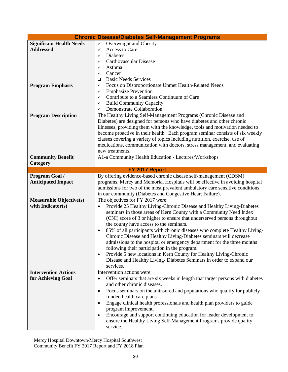|                                 | <b>Chronic Disease/Diabetes Self-Management Programs</b>                                   |
|---------------------------------|--------------------------------------------------------------------------------------------|
| <b>Significant Health Needs</b> | Overweight and Obesity<br>$\checkmark$                                                     |
| <b>Addressed</b>                | Access to Care<br>✓                                                                        |
|                                 | <b>Diabetes</b><br>✓                                                                       |
|                                 | Cardiovascular Disease<br>✓                                                                |
|                                 | Asthma<br>✓                                                                                |
|                                 | Cancer<br>✓                                                                                |
|                                 | <b>Basic Needs Services</b><br>❏                                                           |
| <b>Program Emphasis</b>         | Focus on Disproportionate Unmet Health-Related Needs<br>✓                                  |
|                                 | <b>Emphasize Prevention</b><br>✓                                                           |
|                                 | Contribute to a Seamless Continuum of Care<br>✓                                            |
|                                 | <b>Build Community Capacity</b><br>✓                                                       |
|                                 | Demonstrate Collaboration<br>✓                                                             |
| <b>Program Description</b>      | The Healthy Living Self-Management Programs (Chronic Disease and                           |
|                                 | Diabetes) are designed for persons who have diabetes and other chronic                     |
|                                 | illnesses, providing them with the knowledge, tools and motivation needed to               |
|                                 | become proactive in their health. Each program seminar consists of six weekly              |
|                                 | classes covering a variety of topics including nutrition, exercise, use of                 |
|                                 | medications, communication with doctors, stress management, and evaluating                 |
|                                 | new treatments.                                                                            |
| <b>Community Benefit</b>        | A1-a Community Health Education - Lectures/Workshops                                       |
| Category                        |                                                                                            |
|                                 | FY 2017 Report                                                                             |
| Program Goal /                  | By offering evidence-based chronic disease self-management (CDSM)                          |
| <b>Anticipated Impact</b>       | programs, Mercy and Memorial Hospitals will be effective in avoiding hospital              |
|                                 | admissions for two of the most prevalent ambulatory care sensitive conditions              |
|                                 | in our community (Diabetes and Congestive Heart Failure).                                  |
| <b>Measurable Objective(s)</b>  | The objectives for FY 2017 were:                                                           |
| with Indicator(s)               | Provide 25 Healthy Living-Chronic Disease and Healthy Living-Diabetes<br>$\bullet$         |
|                                 | seminars in those areas of Kern County with a Community Need Index                         |
|                                 | (CNI) score of 3 or higher to ensure that underserved persons throughout                   |
|                                 | the county have access to the seminars.                                                    |
|                                 | 85% of all participants with chronic diseases who complete Healthy Living-<br>٠            |
|                                 | Chronic Disease and Healthy Living-Diabetes seminars will decrease                         |
|                                 | admissions to the hospital or emergency department for the three months                    |
|                                 | following their participation in the program.                                              |
|                                 | Provide 5 new locations in Kern County for Healthy Living-Chronic<br>$\bullet$             |
|                                 | Disease and Healthy Living-Diabetes Seminars in order to expand our                        |
|                                 | services.                                                                                  |
| <b>Intervention Actions</b>     | Intervention actions were:                                                                 |
| for Achieving Goal              | Offer seminars that are six weeks in length that target persons with diabetes<br>$\bullet$ |
|                                 | and other chronic diseases.                                                                |
|                                 | Focus seminars on the uninsured and populations who qualify for publicly<br>٠              |
|                                 | funded health care plans.                                                                  |
|                                 | Engage clinical health professionals and health plan providers to guide<br>$\bullet$       |
|                                 | program improvement.                                                                       |
|                                 | Encourage and support continuing education for leader development to<br>$\bullet$          |
|                                 | ensure the Healthy Living Self-Management Programs provide quality                         |
|                                 | service.                                                                                   |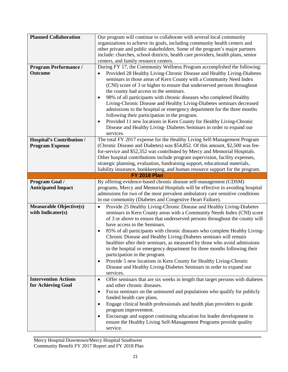| <b>Planned Collaboration</b><br><b>Program Performance /</b> | Our program will continue to collaborate with several local community<br>organizations to achieve its goals, including community health centers and<br>other private and public stakeholders. Some of the program's major partners<br>include: churches, school districts, health care providers, health plans, senior<br>centers, and family resource centers.<br>During FY 17, the Community Wellness Program accomplished the following:                                                                                                                                                                                                                                                                                                                                                        |
|--------------------------------------------------------------|----------------------------------------------------------------------------------------------------------------------------------------------------------------------------------------------------------------------------------------------------------------------------------------------------------------------------------------------------------------------------------------------------------------------------------------------------------------------------------------------------------------------------------------------------------------------------------------------------------------------------------------------------------------------------------------------------------------------------------------------------------------------------------------------------|
| <b>Outcome</b>                                               | Provided 28 Healthy Living-Chronic Disease and Healthy Living-Diabetes<br>$\bullet$<br>seminars in those areas of Kern County with a Community Need Index<br>(CNI) score of 3 or higher to ensure that underserved persons throughout<br>the county had access to the seminars.<br>98% of all participants with chronic diseases who completed Healthy<br>$\bullet$<br>Living-Chronic Disease and Healthy Living-Diabetes seminars decreased<br>admissions to the hospital or emergency department for the three months<br>following their participation in the program.<br>Provided 11 new locations in Kern County for Healthy Living-Chronic<br>$\bullet$<br>Disease and Healthy Living-Diabetes Seminars in order to expand our<br>services.                                                   |
| <b>Hospital's Contribution /</b><br><b>Program Expense</b>   | The total FY 2017 expense for the Healthy Living Self-Management Program<br>(Chronic Disease and Diabetes) was \$54,852. Of this amount, \$2,500 was fee-<br>for-service and \$52,352 was contributed by Mercy and Memorial Hospitals.<br>Other hospital contributions include program supervision, facility expenses,<br>strategic planning, evaluation, fundraising support, educational materials,<br>liability insurance, bookkeeping, and human resource support for the program.                                                                                                                                                                                                                                                                                                             |
|                                                              | <b>FY 2018 Plan</b>                                                                                                                                                                                                                                                                                                                                                                                                                                                                                                                                                                                                                                                                                                                                                                                |
| Program Goal /<br><b>Anticipated Impact</b>                  | By offering evidence-based chronic disease self-management (CDSM)<br>programs, Mercy and Memorial Hospitals will be effective in avoiding hospital<br>admissions for two of the most prevalent ambulatory care sensitive conditions<br>in our community (Diabetes and Congestive Heart Failure).                                                                                                                                                                                                                                                                                                                                                                                                                                                                                                   |
| <b>Measurable Objective(s)</b><br>with Indicator(s)          | Provide 25 Healthy Living-Chronic Disease and Healthy Living-Diabetes<br>$\bullet$<br>seminars in Kern County areas with a Community Needs Index (CNI) score<br>of 3 or above to ensure that underserved persons throughout the county will<br>have access to the Seminars.<br>85% of all participants with chronic diseases who complete Healthy Living-<br>$\bullet$<br>Chronic Disease and Healthy Living-Diabetes seminars will remain<br>healthier after their seminars, as measured by those who avoid admissions<br>to the hospital or emergency department for three months following their<br>participation in the program.<br>Provide 5 new locations in Kern County for Healthy Living-Chronic<br>٠<br>Disease and Healthy Living-Diabetes Seminars in order to expand our<br>services. |
| <b>Intervention Actions</b><br>for Achieving Goal            | Offer seminars that are six weeks in length that target persons with diabetes<br>$\bullet$<br>and other chronic diseases.<br>Focus seminars on the uninsured and populations who qualify for publicly<br>$\bullet$<br>funded health care plans.<br>Engage clinical health professionals and health plan providers to guide<br>$\bullet$<br>program improvement.<br>Encourage and support continuing education for leader development to<br>$\bullet$<br>ensure the Healthy Living Self-Management Programs provide quality<br>service.                                                                                                                                                                                                                                                             |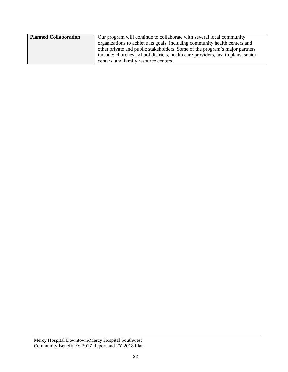| <b>Planned Collaboration</b> | Our program will continue to collaborate with several local community            |
|------------------------------|----------------------------------------------------------------------------------|
|                              | organizations to achieve its goals, including community health centers and       |
|                              | other private and public stakeholders. Some of the program's major partners      |
|                              | include: churches, school districts, health care providers, health plans, senior |
|                              | centers, and family resource centers.                                            |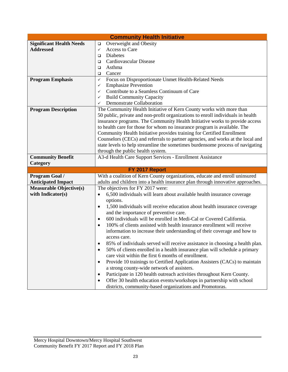|                                 | <b>Community Health Initiative</b>                                                      |
|---------------------------------|-----------------------------------------------------------------------------------------|
| <b>Significant Health Needs</b> | Overweight and Obesity<br>$\Box$                                                        |
| <b>Addressed</b>                | Access to Care<br>✓                                                                     |
|                                 | Diabetes<br>$\Box$                                                                      |
|                                 | Cardiovascular Disease<br>□                                                             |
|                                 | Asthma<br>□                                                                             |
|                                 | Cancer<br>$\Box$                                                                        |
| <b>Program Emphasis</b>         | Focus on Disproportionate Unmet Health-Related Needs<br>✓                               |
|                                 | <b>Emphasize Prevention</b><br>✓                                                        |
|                                 | Contribute to a Seamless Continuum of Care<br>✓                                         |
|                                 | <b>Build Community Capacity</b><br>✓                                                    |
|                                 | Demonstrate Collaboration<br>✓                                                          |
| <b>Program Description</b>      | The Community Health Initiative of Kern County works with more than                     |
|                                 | 50 public, private and non-profit organizations to enroll individuals in health         |
|                                 | insurance programs. The Community Health Initiative works to provide access             |
|                                 | to health care for those for whom no insurance program is available. The                |
|                                 | Community Health Initiative provides training for Certified Enrollment                  |
|                                 | Counselors (CECs) and referrals to partner agencies, and works at the local and         |
|                                 | state levels to help streamline the sometimes burdensome process of navigating          |
|                                 | through the public health system.                                                       |
| <b>Community Benefit</b>        | A3-d Health Care Support Services - Enrollment Assistance                               |
| Category                        |                                                                                         |
|                                 | FY 2017 Report                                                                          |
| Program Goal /                  | With a coalition of Kern County organizations, educate and enroll uninsured             |
| <b>Anticipated Impact</b>       | adults and children into a health insurance plan through innovative approaches.         |
| <b>Measurable Objective(s)</b>  | The objectives for FY 2017 were:                                                        |
| with Indicator(s)               | 6,500 individuals will learn about available health insurance coverage<br>$\bullet$     |
|                                 | options.                                                                                |
|                                 | 1,500 individuals will receive education about health insurance coverage<br>$\bullet$   |
|                                 | and the importance of preventive care.                                                  |
|                                 | 600 individuals will be enrolled in Medi-Cal or Covered California.<br>$\bullet$        |
|                                 | 100% of clients assisted with health insurance enrollment will receive<br>$\bullet$     |
|                                 | information to increase their understanding of their coverage and how to                |
|                                 | access care.                                                                            |
|                                 | 85% of individuals served will receive assistance in choosing a health plan.            |
|                                 | 50% of clients enrolled in a health insurance plan will schedule a primary<br>$\bullet$ |
|                                 | care visit within the first 6 months of enrollment.                                     |
|                                 | Provide 10 trainings to Certified Application Assisters (CACs) to maintain<br>$\bullet$ |
|                                 | a strong county-wide network of assisters.                                              |
|                                 | Participate in 120 health outreach activities throughout Kern County.<br>$\bullet$      |
|                                 | Offer 30 health education events/workshops in partnership with school                   |
|                                 | districts, community-based organizations and Promotoras.                                |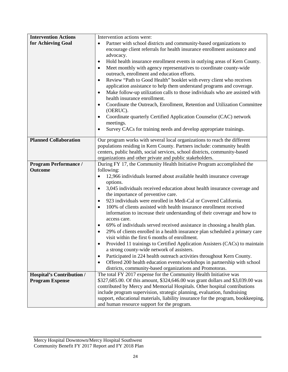| <b>Intervention Actions</b>      | Intervention actions were:                                                                                     |
|----------------------------------|----------------------------------------------------------------------------------------------------------------|
| for Achieving Goal               | Partner with school districts and community-based organizations to<br>$\bullet$                                |
|                                  | encourage client referrals for health insurance enrollment assistance and                                      |
|                                  | advocacy.                                                                                                      |
|                                  | Hold health insurance enrollment events in outlying areas of Kern County.<br>٠                                 |
|                                  | Meet monthly with agency representatives to coordinate county-wide<br>٠                                        |
|                                  | outreach, enrollment and education efforts.                                                                    |
|                                  | Review "Path to Good Health" booklet with every client who receives<br>$\bullet$                               |
|                                  | application assistance to help them understand programs and coverage.                                          |
|                                  | Make follow-up utilization calls to those individuals who are assisted with<br>health insurance enrollment.    |
|                                  | Coordinate the Outreach, Enrollment, Retention and Utilization Committee<br>$\bullet$                          |
|                                  | (OERUC).                                                                                                       |
|                                  | Coordinate quarterly Certified Application Counselor (CAC) network<br>$\bullet$<br>meetings.                   |
|                                  | Survey CACs for training needs and develop appropriate trainings.                                              |
|                                  |                                                                                                                |
| <b>Planned Collaboration</b>     | Our program works with several local organizations to reach the different                                      |
|                                  | populations residing in Kern County. Partners include: community health                                        |
|                                  | centers, public health, social services, school districts, community-based                                     |
|                                  | organizations and other private and public stakeholders.                                                       |
| <b>Program Performance /</b>     | During FY 17, the Community Health Initiative Program accomplished the                                         |
| <b>Outcome</b>                   | following:                                                                                                     |
|                                  | 12,966 individuals learned about available health insurance coverage<br>$\bullet$                              |
|                                  | options.                                                                                                       |
|                                  | 3,045 individuals received education about health insurance coverage and<br>the importance of preventive care. |
|                                  | 923 individuals were enrolled in Medi-Cal or Covered California.<br>$\bullet$                                  |
|                                  | 100% of clients assisted with health insurance enrollment received<br>$\bullet$                                |
|                                  | information to increase their understanding of their coverage and how to                                       |
|                                  | access care.                                                                                                   |
|                                  | 69% of individuals served received assistance in choosing a health plan.                                       |
|                                  | 29% of clients enrolled in a health insurance plan scheduled a primary care                                    |
|                                  | visit within the first 6 months of enrollment.                                                                 |
|                                  | Provided 11 trainings to Certified Application Assisters (CACs) to maintain                                    |
|                                  | a strong county-wide network of assisters.                                                                     |
|                                  | Participated in 224 health outreach activities throughout Kern County.<br>٠                                    |
|                                  | Offered 200 health education events/workshops in partnership with school<br>$\bullet$                          |
|                                  | districts, community-based organizations and Promotoras.                                                       |
| <b>Hospital's Contribution /</b> | The total FY 2017 expense for the Community Health Initiative was                                              |
| <b>Program Expense</b>           | \$327,685.00. Of this amount, \$324,646.00 was grant dollars and \$3,039.00 was                                |
|                                  | contributed by Mercy and Memorial Hospitals. Other hospital contributions                                      |
|                                  | include program supervision, strategic planning, evaluation, fundraising                                       |
|                                  | support, educational materials, liability insurance for the program, bookkeeping,                              |
|                                  | and human resource support for the program.                                                                    |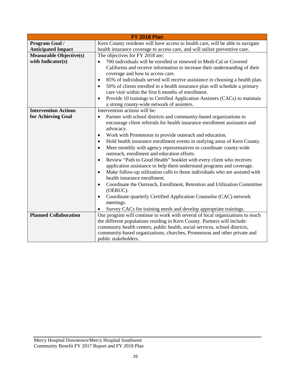|                                | <b>FY 2018 Plan</b>                                                                       |  |  |  |
|--------------------------------|-------------------------------------------------------------------------------------------|--|--|--|
| Program Goal /                 | Kern County residents will have access to health care, will be able to navigate           |  |  |  |
| <b>Anticipated Impact</b>      | health insurance coverage to access care, and will utilize preventive care.               |  |  |  |
| <b>Measurable Objective(s)</b> | The objectives for FY 2018 are:                                                           |  |  |  |
| with Indicator(s)              | 700 individuals will be enrolled or renewed in Medi-Cal or Covered<br>$\bullet$           |  |  |  |
|                                | California and receive information to increase their understanding of their               |  |  |  |
|                                | coverage and how to access care.                                                          |  |  |  |
|                                | 85% of individuals served will receive assistance in choosing a health plan.<br>$\bullet$ |  |  |  |
|                                | 50% of clients enrolled in a health insurance plan will schedule a primary<br>$\bullet$   |  |  |  |
|                                | care visit within the first 6 months of enrollment.                                       |  |  |  |
|                                | Provide 10 trainings to Certified Application Assisters (CACs) to maintain<br>$\bullet$   |  |  |  |
|                                | a strong county-wide network of assisters.                                                |  |  |  |
| <b>Intervention Actions</b>    | Intervention actions will be:                                                             |  |  |  |
| for Achieving Goal             | Partner with school districts and community-based organizations to<br>$\bullet$           |  |  |  |
|                                | encourage client referrals for health insurance enrollment assistance and                 |  |  |  |
|                                | advocacy.                                                                                 |  |  |  |
|                                | Work with Promotoras to provide outreach and education.<br>$\bullet$                      |  |  |  |
|                                | Hold health insurance enrollment events in outlying areas of Kern County.<br>$\bullet$    |  |  |  |
|                                | Meet monthly with agency representatives to coordinate county-wide<br>$\bullet$           |  |  |  |
|                                | outreach, enrollment and education efforts.                                               |  |  |  |
|                                | Review "Path to Good Health" booklet with every client who receives<br>$\bullet$          |  |  |  |
|                                | application assistance to help them understand programs and coverage.                     |  |  |  |
|                                | Make follow-up utilization calls to those individuals who are assisted with<br>$\bullet$  |  |  |  |
|                                | health insurance enrollment.                                                              |  |  |  |
|                                | Coordinate the Outreach, Enrollment, Retention and Utilization Committee<br>$\bullet$     |  |  |  |
|                                | (OERUC).                                                                                  |  |  |  |
|                                | Coordinate quarterly Certified Application Counselor (CAC) network<br>$\bullet$           |  |  |  |
|                                | meetings.                                                                                 |  |  |  |
|                                | Survey CACs for training needs and develop appropriate trainings.<br>$\bullet$            |  |  |  |
| <b>Planned Collaboration</b>   | Our program will continue to work with several of local organizations to reach            |  |  |  |
|                                | the different populations residing in Kern County. Partners will include:                 |  |  |  |
|                                | community health centers, public health, social services, school districts,               |  |  |  |
|                                | community-based organizations, churches, Promotoras and other private and                 |  |  |  |
|                                | public stakeholders.                                                                      |  |  |  |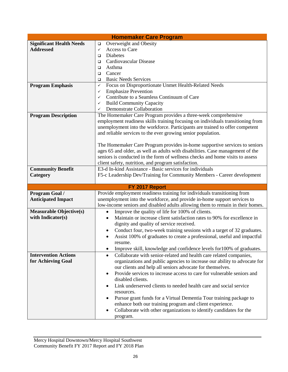| <b>Homemaker Care Program</b>   |                                                                                     |  |
|---------------------------------|-------------------------------------------------------------------------------------|--|
| <b>Significant Health Needs</b> | Overweight and Obesity<br>$\Box$                                                    |  |
| <b>Addressed</b>                | Access to Care<br>$\checkmark$                                                      |  |
|                                 | Diabetes<br>$\Box$                                                                  |  |
|                                 | Cardiovascular Disease<br>$\Box$                                                    |  |
|                                 | Asthma<br>$\Box$                                                                    |  |
|                                 | Cancer<br>$\Box$                                                                    |  |
|                                 | <b>Basic Needs Services</b><br>$\Box$                                               |  |
| <b>Program Emphasis</b>         | Focus on Disproportionate Unmet Health-Related Needs<br>$\checkmark$                |  |
|                                 | <b>Emphasize Prevention</b><br>✓                                                    |  |
|                                 | Contribute to a Seamless Continuum of Care<br>✓                                     |  |
|                                 | <b>Build Community Capacity</b><br>✓                                                |  |
|                                 | <b>Demonstrate Collaboration</b><br>✓                                               |  |
| <b>Program Description</b>      | The Homemaker Care Program provides a three-week comprehensive                      |  |
|                                 | employment readiness skills training focusing on individuals transitioning from     |  |
|                                 | unemployment into the workforce. Participants are trained to offer competent        |  |
|                                 | and reliable services to the ever growing senior population.                        |  |
|                                 |                                                                                     |  |
|                                 | The Homemaker Care Program provides in-home supportive services to seniors          |  |
|                                 | ages 65 and older, as well as adults with disabilities. Case management of the      |  |
|                                 | seniors is conducted in the form of wellness checks and home visits to assess       |  |
|                                 | client safety, nutrition, and program satisfaction.                                 |  |
| <b>Community Benefit</b>        | E3-d In-kind Assistance - Basic services for individuals                            |  |
| Category                        | F5-c Leadership Dev/Training for Community Members - Career development             |  |
|                                 |                                                                                     |  |
|                                 | FY 2017 Report                                                                      |  |
| Program Goal /                  | Provide employment readiness training for individuals transitioning from            |  |
| <b>Anticipated Impact</b>       | unemployment into the workforce, and provide in-home support services to            |  |
|                                 | low-income seniors and disabled adults allowing them to remain in their homes.      |  |
| <b>Measurable Objective(s)</b>  | Improve the quality of life for 100% of clients.                                    |  |
| with Indicator(s)               | Maintain or increase client satisfaction rates to 90% for excellence in             |  |
|                                 | dignity and quality of service received.                                            |  |
|                                 | Conduct four, two-week training sessions with a target of 32 graduates.<br>٠        |  |
|                                 | Assist 100% of graduates to create a professional, useful and impactful             |  |
|                                 | resume.                                                                             |  |
|                                 | Improve skill, knowledge and confidence levels for 100% of graduates.<br>$\bullet$  |  |
| <b>Intervention Actions</b>     | Collaborate with senior-related and health care related companies,<br>$\bullet$     |  |
| for Achieving Goal              | organizations and public agencies to increase our ability to advocate for           |  |
|                                 | our clients and help all seniors advocate for themselves.                           |  |
|                                 | Provide services to increase access to care for vulnerable seniors and<br>$\bullet$ |  |
|                                 | disabled clients.                                                                   |  |
|                                 | Link underserved clients to needed health care and social service<br>$\bullet$      |  |
|                                 | resources.                                                                          |  |
|                                 | Pursue grant funds for a Virtual Dementia Tour training package to                  |  |
|                                 | enhance both our training program and client experience.                            |  |
|                                 | Collaborate with other organizations to identify candidates for the                 |  |
|                                 | program.                                                                            |  |
|                                 |                                                                                     |  |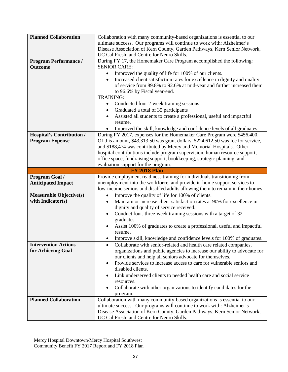| <b>Planned Collaboration</b>     | Collaboration with many community-based organizations is essential to our              |  |  |
|----------------------------------|----------------------------------------------------------------------------------------|--|--|
|                                  | ultimate success. Our programs will continue to work with: Alzheimer's                 |  |  |
|                                  | Disease Association of Kern County, Garden Pathways, Kern Senior Network,              |  |  |
|                                  | UC Cal Fresh, and Centre for Neuro Skills.                                             |  |  |
| <b>Program Performance /</b>     | During FY 17, the Homemaker Care Program accomplished the following:                   |  |  |
| <b>Outcome</b>                   | <b>SENIOR CARE:</b>                                                                    |  |  |
|                                  | Improved the quality of life for 100% of our clients.                                  |  |  |
|                                  | ٠                                                                                      |  |  |
|                                  | Increased client satisfaction rates for excellence in dignity and quality<br>$\bullet$ |  |  |
|                                  | of service from 89.8% to 92.6% at mid-year and further increased them                  |  |  |
|                                  | to 96.6% by Fiscal year-end.<br><b>TRAINING:</b>                                       |  |  |
|                                  |                                                                                        |  |  |
|                                  | Conducted four 2-week training sessions                                                |  |  |
|                                  | Graduated a total of 35 participants                                                   |  |  |
|                                  | Assisted all students to create a professional, useful and impactful<br>$\bullet$      |  |  |
|                                  | resume.                                                                                |  |  |
|                                  | Improved the skill, knowledge and confidence levels of all graduates.                  |  |  |
| <b>Hospital's Contribution /</b> | During FY 2017, expenses for the Homemaker Care Program were \$456,400.                |  |  |
| <b>Program Expense</b>           | Of this amount, \$43,313.50 was grant dollars, \$224,612.50 was fee for service,       |  |  |
|                                  | and \$188,474 was contributed by Mercy and Memorial Hospitals. Other                   |  |  |
|                                  | hospital contributions include program supervision, human resource support,            |  |  |
|                                  | office space, fundraising support, bookkeeping, strategic planning, and                |  |  |
|                                  | evaluation support for the program.                                                    |  |  |
|                                  | <b>FY 2018 Plan</b>                                                                    |  |  |
| Program Goal /                   | Provide employment readiness training for individuals transitioning from               |  |  |
| <b>Anticipated Impact</b>        | unemployment into the workforce, and provide in-home support services to               |  |  |
|                                  |                                                                                        |  |  |
|                                  | low-income seniors and disabled adults allowing them to remain in their homes.         |  |  |
| <b>Measurable Objective(s)</b>   | Improve the quality of life for 100% of clients.<br>$\bullet$                          |  |  |
| with Indicator(s)                | Maintain or increase client satisfaction rates at 90% for excellence in<br>$\bullet$   |  |  |
|                                  | dignity and quality of service received.                                               |  |  |
|                                  | Conduct four, three-week training sessions with a target of 32                         |  |  |
|                                  | graduates.                                                                             |  |  |
|                                  | Assist 100% of graduates to create a professional, useful and impactful<br>$\bullet$   |  |  |
|                                  | resume.                                                                                |  |  |
|                                  | Improve skill, knowledge and confidence levels for 100% of graduates.                  |  |  |
| <b>Intervention Actions</b>      | Collaborate with senior-related and health care related companies,                     |  |  |
| for Achieving Goal               | organizations and public agencies to increase our ability to advocate for              |  |  |
|                                  | our clients and help all seniors advocate for themselves.                              |  |  |
|                                  | Provide services to increase access to care for vulnerable seniors and<br>$\bullet$    |  |  |
|                                  | disabled clients.                                                                      |  |  |
|                                  | Link underserved clients to needed health care and social service                      |  |  |
|                                  | resources.                                                                             |  |  |
|                                  | Collaborate with other organizations to identify candidates for the                    |  |  |
|                                  | program.                                                                               |  |  |
| <b>Planned Collaboration</b>     | Collaboration with many community-based organizations is essential to our              |  |  |
|                                  | ultimate success. Our programs will continue to work with: Alzheimer's                 |  |  |
|                                  | Disease Association of Kern County, Garden Pathways, Kern Senior Network,              |  |  |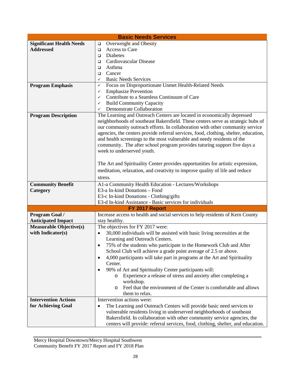| <b>Basic Needs Services</b>     |                                                                                        |  |
|---------------------------------|----------------------------------------------------------------------------------------|--|
| <b>Significant Health Needs</b> | Overweight and Obesity<br>$\Box$                                                       |  |
| <b>Addressed</b>                | Access to Care<br>$\Box$                                                               |  |
|                                 | Diabetes<br>$\Box$                                                                     |  |
|                                 | Cardiovascular Disease<br>$\Box$                                                       |  |
|                                 | Asthma<br>$\Box$                                                                       |  |
|                                 | Cancer<br>▫                                                                            |  |
|                                 | <b>Basic Needs Services</b><br>✓                                                       |  |
| <b>Program Emphasis</b>         | Focus on Disproportionate Unmet Health-Related Needs<br>✓                              |  |
|                                 | <b>Emphasize Prevention</b><br>✓                                                       |  |
|                                 | Contribute to a Seamless Continuum of Care<br>✓                                        |  |
|                                 | <b>Build Community Capacity</b><br>✓                                                   |  |
|                                 | Demonstrate Collaboration<br>$\checkmark$                                              |  |
| <b>Program Description</b>      | The Learning and Outreach Centers are located in economically depressed                |  |
|                                 | neighborhoods of southeast Bakersfield. These centers serve as strategic hubs of       |  |
|                                 | our community outreach efforts. In collaboration with other community service          |  |
|                                 | agencies, the centers provide referral services, food, clothing, shelter, education,   |  |
|                                 | and health screenings to the most vulnerable and needy residents of the                |  |
|                                 | community. The after school program provides tutoring support five days a              |  |
|                                 | week to underserved youth.                                                             |  |
|                                 |                                                                                        |  |
|                                 | The Art and Spirituality Center provides opportunities for artistic expression,        |  |
|                                 | meditation, relaxation, and creativity to improve quality of life and reduce           |  |
|                                 |                                                                                        |  |
|                                 | stress.                                                                                |  |
| <b>Community Benefit</b>        | A1-a Community Health Education - Lectures/Workshops                                   |  |
| Category                        | E3-a In-kind Donations - Food                                                          |  |
|                                 | E3-c In-kind Donations - Clothing/gifts                                                |  |
|                                 | E3-d In-kind Assistance - Basic services for individuals                               |  |
| FY 2017 Report                  |                                                                                        |  |
| Program Goal /                  | Increase access to health and social services to help residents of Kern County         |  |
| <b>Anticipated Impact</b>       | stay healthy.                                                                          |  |
| <b>Measurable Objective(s)</b>  | The objectives for FY 2017 were:                                                       |  |
| with Indicator(s)               | 30,000 individuals will be assisted with basic living necessities at the<br>$\bullet$  |  |
|                                 | Learning and Outreach Centers.                                                         |  |
|                                 | 75% of the students who participate in the Homework Club and After                     |  |
|                                 | School Club will achieve a grade point average of 2.5 or above.                        |  |
|                                 | 4,000 participants will take part in programs at the Art and Spirituality<br>$\bullet$ |  |
|                                 | Center.                                                                                |  |
|                                 | 90% of Art and Spirituality Center participants will:                                  |  |
|                                 | Experience a release of stress and anxiety after completing a<br>$\circ$               |  |
|                                 | workshop.                                                                              |  |
|                                 | Feel that the environment of the Center is comfortable and allows<br>$\circ$           |  |
|                                 | them to relax.                                                                         |  |
| <b>Intervention Actions</b>     | Intervention actions were:                                                             |  |
| for Achieving Goal              | The Learning and Outreach Centers will provide basic need services to<br>$\bullet$     |  |
|                                 | vulnerable residents living in underserved neighborhoods of southeast                  |  |
|                                 | Bakersfield. In collaboration with other community service agencies, the               |  |
|                                 | centers will provide: referral services, food, clothing, shelter, and education.       |  |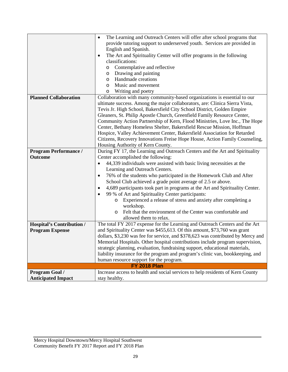|                                  | The Learning and Outreach Centers will offer after school programs that<br>$\bullet$ |  |  |  |
|----------------------------------|--------------------------------------------------------------------------------------|--|--|--|
|                                  | provide tutoring support to underserved youth. Services are provided in              |  |  |  |
|                                  | English and Spanish.                                                                 |  |  |  |
|                                  | The Art and Spirituality Center will offer programs in the following<br>٠            |  |  |  |
|                                  | classifications:                                                                     |  |  |  |
|                                  | Contemplative and reflective<br>O                                                    |  |  |  |
|                                  | Drawing and painting<br>O                                                            |  |  |  |
|                                  | Handmade creations<br>O                                                              |  |  |  |
|                                  | Music and movement<br>$\circ$                                                        |  |  |  |
|                                  | Writing and poetry<br>O                                                              |  |  |  |
| <b>Planned Collaboration</b>     | Collaboration with many community-based organizations is essential to our            |  |  |  |
|                                  | ultimate success. Among the major collaborators, are: Clinica Sierra Vista,          |  |  |  |
|                                  | Tevis Jr. High School, Bakersfield City School District, Golden Empire               |  |  |  |
|                                  | Gleaners, St. Philip Apostle Church, Greenfield Family Resource Center,              |  |  |  |
|                                  | Community Action Partnership of Kern, Flood Ministries, Love Inc., The Hope          |  |  |  |
|                                  | Center, Bethany Homeless Shelter, Bakersfield Rescue Mission, Hoffman                |  |  |  |
|                                  | Hospice, Valley Achievement Center, Bakersfield Association for Retarded             |  |  |  |
|                                  | Citizens, Recovery Innovations Freise Hope House, Action Family Counseling,          |  |  |  |
|                                  |                                                                                      |  |  |  |
|                                  | Housing Authority of Kern County.                                                    |  |  |  |
| <b>Program Performance /</b>     | During FY 17, the Learning and Outreach Centers and the Art and Spirituality         |  |  |  |
| <b>Outcome</b>                   | Center accomplished the following:                                                   |  |  |  |
|                                  | 44,339 individuals were assisted with basic living necessities at the<br>$\bullet$   |  |  |  |
|                                  | Learning and Outreach Centers.                                                       |  |  |  |
|                                  | 76% of the students who participated in the Homework Club and After<br>$\bullet$     |  |  |  |
|                                  | School Club achieved a grade point average of 2.5 or above.                          |  |  |  |
|                                  | 4,689 participants took part in programs at the Art and Spirituality Center.         |  |  |  |
|                                  | 99 % of Art and Spirituality Center participants:                                    |  |  |  |
|                                  | Experienced a release of stress and anxiety after completing a<br>O                  |  |  |  |
|                                  | workshop.                                                                            |  |  |  |
|                                  | Felt that the environment of the Center was comfortable and<br>$\circ$               |  |  |  |
|                                  | allowed them to relax.                                                               |  |  |  |
| <b>Hospital's Contribution /</b> | The total FY 2017 expense for the Learning and Outreach Centers and the Art          |  |  |  |
| <b>Program Expense</b>           | and Spirituality Center was \$455,613. Of this amount, \$73,760 was grant            |  |  |  |
|                                  | dollars, \$3,230 was fee for service, and \$378,623 was contributed by Mercy and     |  |  |  |
|                                  | Memorial Hospitals. Other hospital contributions include program supervision,        |  |  |  |
|                                  | strategic planning, evaluation, fundraising support, educational materials,          |  |  |  |
|                                  | liability insurance for the program and program's clinic van, bookkeeping, and       |  |  |  |
|                                  | human resource support for the program.                                              |  |  |  |
|                                  | <b>FY 2018 Plan</b>                                                                  |  |  |  |
| Program Goal /                   | Increase access to health and social services to help residents of Kern County       |  |  |  |
| <b>Anticipated Impact</b>        | stay healthy.                                                                        |  |  |  |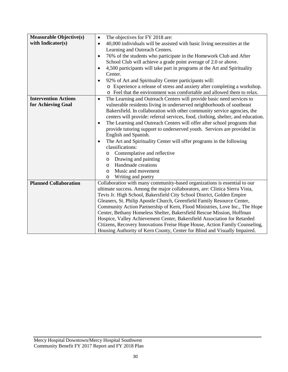| Measurable Objective(s)      | The objectives for FY 2018 are:<br>$\bullet$                                                                                                          |  |  |
|------------------------------|-------------------------------------------------------------------------------------------------------------------------------------------------------|--|--|
| with Indicator(s)            | 40,000 individuals will be assisted with basic living necessities at the<br>$\bullet$                                                                 |  |  |
|                              | Learning and Outreach Centers.                                                                                                                        |  |  |
|                              | 76% of the students who participate in the Homework Club and After<br>$\bullet$                                                                       |  |  |
|                              | School Club will achieve a grade point average of 2.0 or above.                                                                                       |  |  |
|                              | 4,500 participants will take part in programs at the Art and Spirituality<br>$\bullet$                                                                |  |  |
|                              | Center.                                                                                                                                               |  |  |
|                              | 92% of Art and Spirituality Center participants will:<br>$\bullet$                                                                                    |  |  |
|                              | o Experience a release of stress and anxiety after completing a workshop.                                                                             |  |  |
|                              | o Feel that the environment was comfortable and allowed them to relax.                                                                                |  |  |
| <b>Intervention Actions</b>  | The Learning and Outreach Centers will provide basic need services to<br>$\bullet$                                                                    |  |  |
| for Achieving Goal           | vulnerable residents living in underserved neighborhoods of southeast                                                                                 |  |  |
|                              | Bakersfield. In collaboration with other community service agencies, the                                                                              |  |  |
|                              | centers will provide: referral services, food, clothing, shelter, and education.                                                                      |  |  |
|                              | The Learning and Outreach Centers will offer after school programs that<br>$\bullet$                                                                  |  |  |
|                              | provide tutoring support to underserved youth. Services are provided in                                                                               |  |  |
|                              | English and Spanish.                                                                                                                                  |  |  |
|                              | The Art and Spirituality Center will offer programs in the following<br>$\bullet$                                                                     |  |  |
|                              | classifications:                                                                                                                                      |  |  |
|                              | Contemplative and reflective<br>O                                                                                                                     |  |  |
|                              | Drawing and painting<br>$\circ$                                                                                                                       |  |  |
|                              | Handmade creations<br>$\circ$                                                                                                                         |  |  |
|                              | Music and movement<br>$\circ$                                                                                                                         |  |  |
|                              | Writing and poetry<br>$\circ$                                                                                                                         |  |  |
| <b>Planned Collaboration</b> | Collaboration with many community-based organizations is essential to our                                                                             |  |  |
|                              | ultimate success. Among the major collaborators, are: Clinica Sierra Vista,<br>Tevis Jr. High School, Bakersfield City School District, Golden Empire |  |  |
|                              | Gleaners, St. Philip Apostle Church, Greenfield Family Resource Center,                                                                               |  |  |
|                              | Community Action Partnership of Kern, Flood Ministries, Love Inc., The Hope                                                                           |  |  |
|                              | Center, Bethany Homeless Shelter, Bakersfield Rescue Mission, Hoffman                                                                                 |  |  |
|                              | Hospice, Valley Achievement Center, Bakersfield Association for Retarded                                                                              |  |  |
|                              | Citizens, Recovery Innovations Freise Hope House, Action Family Counseling,                                                                           |  |  |
|                              | Housing Authority of Kern County, Center for Blind and Visually Impaired.                                                                             |  |  |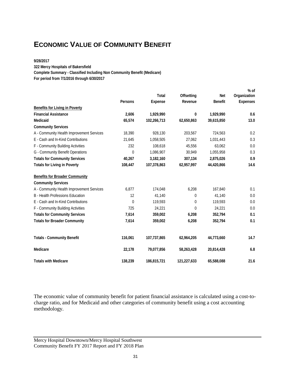### **ECONOMIC VALUE OF COMMUNITY BENEFIT**

#### **9/28/2017**

**322 Mercy Hospitals of Bakersfield**

**Complete Summary - Classified Including Non Community Benefit (Medicare)**

**For period from 7/1/2016 through 6/30/2017**

|                                           |              |                |                |                | $%$ of          |
|-------------------------------------------|--------------|----------------|----------------|----------------|-----------------|
|                                           |              | Total          | Offsetting     | <b>Net</b>     | Organization    |
|                                           | Persons      | <b>Expense</b> | Revenue        | <b>Benefit</b> | <b>Expenses</b> |
| <b>Benefits for Living in Poverty</b>     |              |                |                |                |                 |
| <b>Financial Assistance</b>               | 2,606        | 1,929,990      | 0              | 1,929,990      | 0.6             |
| Medicaid                                  | 65,574       | 102,266,713    | 62,650,863     | 39,615,850     | 13.0            |
| <b>Community Services</b>                 |              |                |                |                |                 |
| A - Community Health Improvement Services | 18,390       | 928,130        | 203,567        | 724,563        | 0.2             |
| E - Cash and In-Kind Contributions        | 21,645       | 1,058,505      | 27,062         | 1,031,443      | 0.3             |
| F - Community Building Activities         | 232          | 108,618        | 45,556         | 63,062         | 0.0             |
| G - Community Benefit Operations          | $\mathbf{0}$ | 1,086,907      | 30,949         | 1,055,958      | 0.3             |
| <b>Totals for Community Services</b>      | 40,267       | 3,182,160      | 307,134        | 2,875,026      | 0.9             |
| <b>Totals for Living in Poverty</b>       | 108,447      | 107,378,863    | 62,957,997     | 44,420,866     | 14.6            |
| <b>Benefits for Broader Community</b>     |              |                |                |                |                 |
| <b>Community Services</b>                 |              |                |                |                |                 |
| A - Community Health Improvement Services | 6,877        | 174,048        | 6,208          | 167,840        | 0.1             |
| B - Health Professions Education          | 12           | 41,140         | 0              | 41,140         | 0.0             |
| E - Cash and In-Kind Contributions        | $\mathbf{0}$ | 119,593        | $\overline{0}$ | 119,593        | 0.0             |
| F - Community Building Activities         | 725          | 24,221         | $\overline{0}$ | 24,221         | 0.0             |
| <b>Totals for Community Services</b>      | 7,614        | 359,002        | 6,208          | 352,794        | 0.1             |
| <b>Totals for Broader Community</b>       | 7,614        | 359,002        | 6,208          | 352,794        | 0.1             |
| <b>Totals - Community Benefit</b>         | 116,061      | 107,737,865    | 62,964,205     | 44,773,660     | 14.7            |
| Medicare                                  | 22,178       | 79,077,856     | 58,263,428     | 20,814,428     | 6.8             |
| <b>Totals with Medicare</b>               | 138,239      | 186,815,721    | 121,227,633    | 65,588,088     | 21.6            |

The economic value of community benefit for patient financial assistance is calculated using a cost-tocharge ratio, and for Medicaid and other categories of community benefit using a cost accounting methodology.

Mercy Hospital Downtown/Mercy Hospital Southwest Community Benefit FY 2017 Report and FY 2018 Plan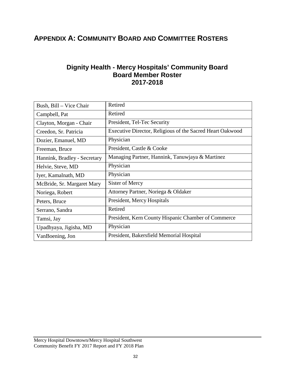### **APPENDIX A: COMMUNITY BOARD AND COMMITTEE ROSTERS**

#### **Dignity Health - Mercy Hospitals' Community Board Board Member Roster 2017-2018**

| Bush, Bill - Vice Chair      | Retired                                                   |
|------------------------------|-----------------------------------------------------------|
| Campbell, Pat                | Retired                                                   |
| Clayton, Morgan - Chair      | President, Tel-Tec Security                               |
| Creedon, Sr. Patricia        | Executive Director, Religious of the Sacred Heart Oakwood |
| Dozier, Emanuel, MD          | Physician                                                 |
| Freeman, Bruce               | President, Castle & Cooke                                 |
| Hannink, Bradley - Secretary | Managing Partner, Hannink, Tanuwjaya & Martinez           |
| Helvie, Steve, MD            | Physician                                                 |
| Iyer, Kamalnath, MD          | Physician                                                 |
| McBride, Sr. Margaret Mary   | Sister of Mercy                                           |
| Noriega, Robert              | Attorney Partner, Noriega & Oldaker                       |
| Peters, Bruce                | President, Mercy Hospitals                                |
| Serrano, Sandra              | Retired                                                   |
| Tamsi, Jay                   | President, Kern County Hispanic Chamber of Commerce       |
| Upadhyaya, Jigisha, MD       | Physician                                                 |
| VanBoening, Jon              | President, Bakersfield Memorial Hospital                  |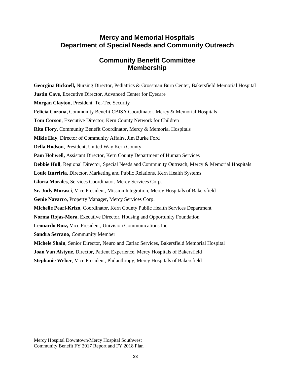### **Mercy and Memorial Hospitals Department of Special Needs and Community Outreach**

### **Community Benefit Committee Membership**

**Georgina Bicknell,** Nursing Director, Pediatrics & Grossman Burn Center, Bakersfield Memorial Hospital **Justin Cave, Executive Director, Advanced Center for Eyecare Morgan Clayton**, President, Tel-Tec Security **Felicia Corona,** Community Benefit CBISA Coordinator, Mercy & Memorial Hospitals **Tom Corson**, Executive Director, Kern County Network for Children **Rita Flory**, Community Benefit Coordinator, Mercy & Memorial Hospitals **Mikie Hay**, Director of Community Affairs, Jim Burke Ford **Della Hodson**, President, United Way Kern County **Pam Holiwell,** Assistant Director, Kern County Department of Human Services **Debbie Hull**, Regional Director, Special Needs and Community Outreach, Mercy & Memorial Hospitals **Louie Iturriria**, Director, Marketing and Public Relations, Kern Health Systems **Gloria Morales**, Services Coordinator, Mercy Services Corp. **Sr. Judy Morasci**, Vice President, Mission Integration, Mercy Hospitals of Bakersfield **Genie Navarro**, Property Manager, Mercy Services Corp. **Michelle Pearl-Krizo**, Coordinator, Kern County Public Health Services Department **Norma Rojas-Mora**, Executive Director, Housing and Opportunity Foundation **Leonardo Ruiz,** Vice President, Univision Communications Inc. **Sandra Serrano**, Community Member **Michele Shain**, Senior Director, Neuro and Cariac Services, Bakersfield Memorial Hospital **Joan Van Alstyne**, Director, Patient Experience, Mercy Hospitals of Bakersfield **Stephanie Weber**, Vice President, Philanthropy, Mercy Hospitals of Bakersfield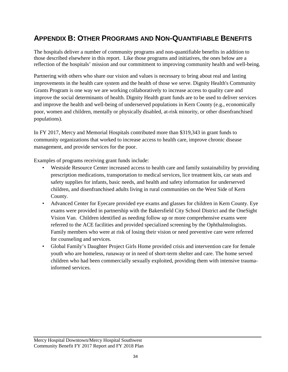### **APPENDIX B: OTHER PROGRAMS AND NON-QUANTIFIABLE BENEFITS**

The hospitals deliver a number of community programs and non-quantifiable benefits in addition to those described elsewhere in this report. Like those programs and initiatives, the ones below are a reflection of the hospitals' mission and our commitment to improving community health and well-being.

Partnering with others who share our vision and values is necessary to bring about real and lasting improvements in the health care system and the health of those we serve. Dignity Health's Community Grants Program is one way we are working collaboratively to increase access to quality care and improve the social determinants of health. Dignity Health grant funds are to be used to deliver services and improve the health and well-being of underserved populations in Kern County (e.g., economically poor, women and children, mentally or physically disabled, at-risk minority, or other disenfranchised populations).

In FY 2017, Mercy and Memorial Hospitals contributed more than \$319,343 in grant funds to community organizations that worked to increase access to health care, improve chronic disease management, and provide services for the poor.

Examples of programs receiving grant funds include:

- Westside Resource Center increased access to health care and family sustainability by providing prescription medications, transportation to medical services, lice treatment kits, car seats and safety supplies for infants, basic needs, and health and safety information for underserved children, and disenfranchised adults living in rural communities on the West Side of Kern County.
- Advanced Center for Eyecare provided eye exams and glasses for children in Kern County. Eye exams were provided in partnership with the Bakersfield City School District and the OneSight Vision Van. Children identified as needing follow up or more comprehensive exams were referred to the ACE facilities and provided specialized screening by the Ophthalmologists. Family members who were at risk of losing their vision or need preventive care were referred for counseling and services.
- Global Family's Daughter Project Girls Home provided crisis and intervention care for female youth who are homeless, runaway or in need of short-term shelter and care. The home served children who had been commercially sexually exploited, providing them with intensive traumainformed services.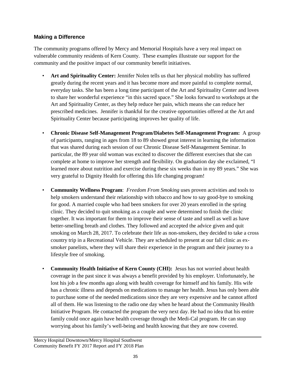#### **Making a Difference**

The community programs offered by Mercy and Memorial Hospitals have a very real impact on vulnerable community residents of Kern County. These examples illustrate our support for the community and the positive impact of our community benefit initiatives.

- **Art and Spirituality Center:** Jennifer Nolen tells us that her physical mobility has suffered greatly during the recent years and it has become more and more painful to complete normal, everyday tasks. She has been a long time participant of the Art and Spirituality Center and loves to share her wonderful experience "in this sacred space." She looks forward to workshops at the Art and Spirituality Center, as they help reduce her pain, which means she can reduce her prescribed medicines. Jennifer is thankful for the creative opportunities offered at the Art and Spirituality Center because participating improves her quality of life.
- **Chronic Disease Self-Management Program/Diabetes Self-Management Program:** A group of participants, ranging in ages from 18 to 89 showed great interest in learning the information that was shared during each session of our Chronic Disease Self-Management Seminar. In particular, the 89 year old woman was excited to discover the different exercises that she can complete at home to improve her strength and flexibility. On graduation day she exclaimed, "I learned more about nutrition and exercise during these six weeks than in my 89 years." She was very grateful to Dignity Health for offering this life changing program!
- **Community Wellness Program**: *Freedom From Smoking* uses proven activities and tools to help smokers understand their relationship with tobacco and how to say good-bye to smoking for good. A married couple who had been smokers for over 20 years enrolled in the spring clinic. They decided to quit smoking as a couple and were determined to finish the clinic together. It was important for them to improve their sense of taste and smell as well as have better-smelling breath and clothes. They followed and accepted the advice given and quit smoking on March 28, 2017. To celebrate their life as non-smokers, they decided to take a cross country trip in a Recreational Vehicle. They are scheduled to present at our fall clinic as exsmoker panelists, where they will share their experience in the program and their journey to a lifestyle free of smoking.
- **Community Health Initiative of Kern County (CHI):** Jesus has not worried about health coverage in the past since it was always a benefit provided by his employer. Unfortunately, he lost his job a few months ago along with health coverage for himself and his family. His wife has a chronic illness and depends on medications to manage her health. Jesus has only been able to purchase some of the needed medications since they are very expensive and he cannot afford all of them. He was listening to the radio one day when he heard about the Community Health Initiative Program. He contacted the program the very next day. He had no idea that his entire family could once again have health coverage through the Medi-Cal program. He can stop worrying about his family's well-being and health knowing that they are now covered.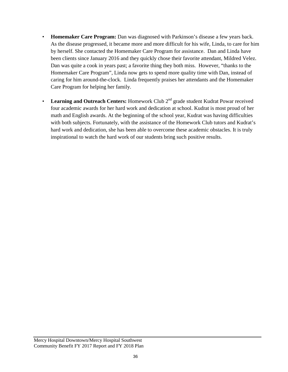- **Homemaker Care Program:** Dan was diagnosed with Parkinson's disease a few years back. As the disease progressed, it became more and more difficult for his wife, Linda, to care for him by herself. She contacted the Homemaker Care Program for assistance. Dan and Linda have been clients since January 2016 and they quickly chose their favorite attendant, Mildred Velez. Dan was quite a cook in years past; a favorite thing they both miss. However, "thanks to the Homemaker Care Program", Linda now gets to spend more quality time with Dan, instead of caring for him around-the-clock. Linda frequently praises her attendants and the Homemaker Care Program for helping her family.
- **Learning and Outreach Centers:** Homework Club 2<sup>nd</sup> grade student Kudrat Powar received four academic awards for her hard work and dedication at school. Kudrat is most proud of her math and English awards. At the beginning of the school year, Kudrat was having difficulties with both subjects. Fortunately, with the assistance of the Homework Club tutors and Kudrat's hard work and dedication, she has been able to overcome these academic obstacles. It is truly inspirational to watch the hard work of our students bring such positive results.